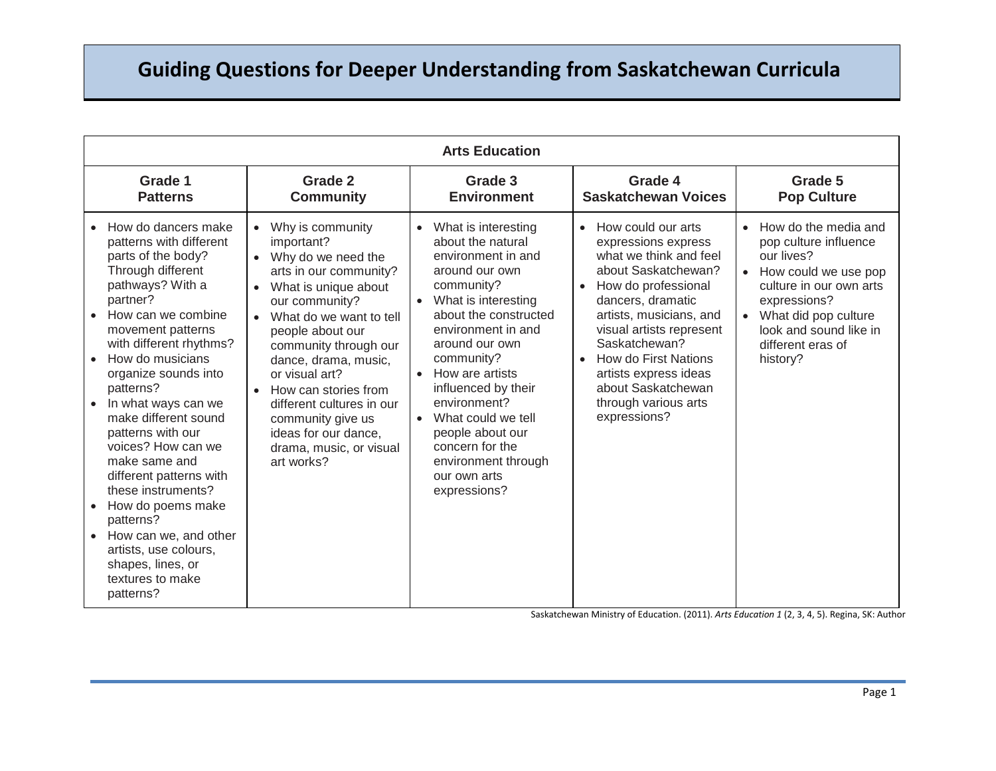| <b>Arts Education</b>                                                                                                                                                                                                                                                                                                                                                                                                                                                                                                                                                       |                                                                                                                                                                                                                                                                                                                                                                                                                              |                                                                                                                                                                                                                                                                                                                                                                                      |                                                                                                                                                                                                                                                                                                                                                                             |                                                                                                                                                                                                                                             |  |
|-----------------------------------------------------------------------------------------------------------------------------------------------------------------------------------------------------------------------------------------------------------------------------------------------------------------------------------------------------------------------------------------------------------------------------------------------------------------------------------------------------------------------------------------------------------------------------|------------------------------------------------------------------------------------------------------------------------------------------------------------------------------------------------------------------------------------------------------------------------------------------------------------------------------------------------------------------------------------------------------------------------------|--------------------------------------------------------------------------------------------------------------------------------------------------------------------------------------------------------------------------------------------------------------------------------------------------------------------------------------------------------------------------------------|-----------------------------------------------------------------------------------------------------------------------------------------------------------------------------------------------------------------------------------------------------------------------------------------------------------------------------------------------------------------------------|---------------------------------------------------------------------------------------------------------------------------------------------------------------------------------------------------------------------------------------------|--|
| Grade 1<br><b>Patterns</b>                                                                                                                                                                                                                                                                                                                                                                                                                                                                                                                                                  | Grade 2<br><b>Community</b>                                                                                                                                                                                                                                                                                                                                                                                                  | Grade 3<br><b>Environment</b>                                                                                                                                                                                                                                                                                                                                                        | Grade 4<br><b>Saskatchewan Voices</b>                                                                                                                                                                                                                                                                                                                                       | Grade 5<br><b>Pop Culture</b>                                                                                                                                                                                                               |  |
| How do dancers make<br>patterns with different<br>parts of the body?<br>Through different<br>pathways? With a<br>partner?<br>How can we combine<br>movement patterns<br>with different rhythms?<br>How do musicians<br>organize sounds into<br>patterns?<br>In what ways can we<br>$\bullet$<br>make different sound<br>patterns with our<br>voices? How can we<br>make same and<br>different patterns with<br>these instruments?<br>How do poems make<br>patterns?<br>How can we, and other<br>artists, use colours,<br>shapes, lines, or<br>textures to make<br>patterns? | Why is community<br>important?<br>Why do we need the<br>$\bullet$<br>arts in our community?<br>What is unique about<br>$\bullet$<br>our community?<br>What do we want to tell<br>$\bullet$<br>people about our<br>community through our<br>dance, drama, music,<br>or visual art?<br>How can stories from<br>different cultures in our<br>community give us<br>ideas for our dance,<br>drama, music, or visual<br>art works? | • What is interesting<br>about the natural<br>environment in and<br>around our own<br>community?<br>What is interesting<br>about the constructed<br>environment in and<br>around our own<br>community?<br>How are artists<br>influenced by their<br>environment?<br>What could we tell<br>people about our<br>concern for the<br>environment through<br>our own arts<br>expressions? | How could our arts<br>$\bullet$<br>expressions express<br>what we think and feel<br>about Saskatchewan?<br>How do professional<br>$\bullet$<br>dancers, dramatic<br>artists, musicians, and<br>visual artists represent<br>Saskatchewan?<br><b>How do First Nations</b><br>$\bullet$<br>artists express ideas<br>about Saskatchewan<br>through various arts<br>expressions? | How do the media and<br>$\bullet$<br>pop culture influence<br>our lives?<br>How could we use pop<br>culture in our own arts<br>expressions?<br>What did pop culture<br>$\bullet$<br>look and sound like in<br>different eras of<br>history? |  |

Saskatchewan Ministry of Education. (2011). *Arts Education 1* (2, 3, 4, 5). Regina, SK: Author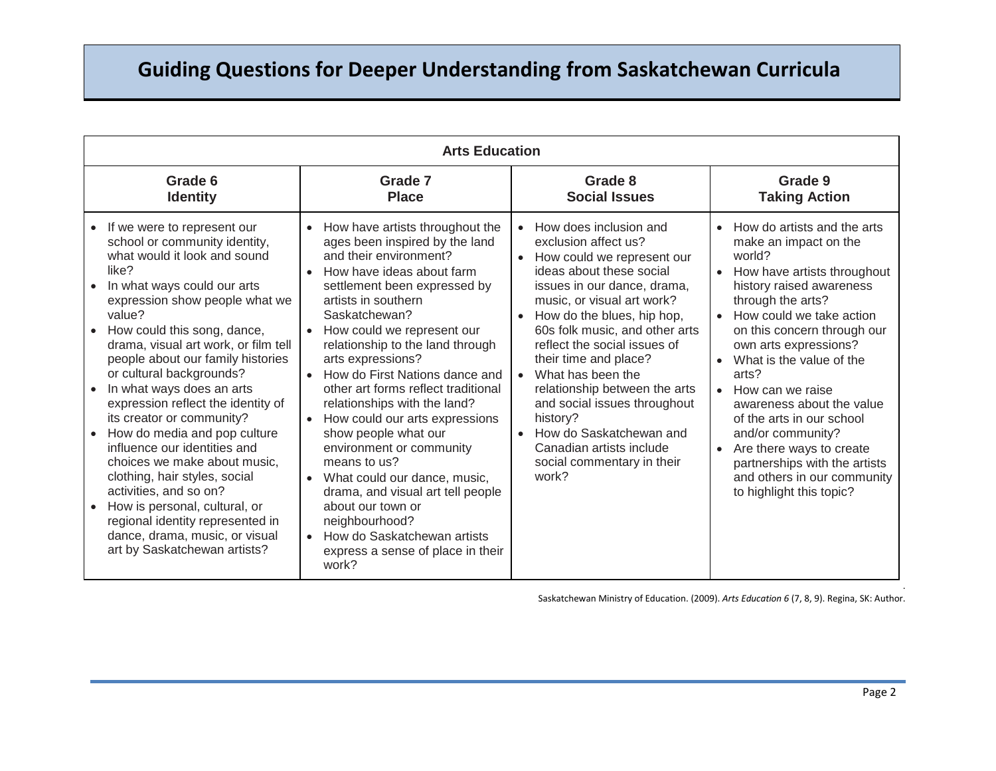| <b>Arts Education</b>                                                                                                                                                                                                                                                                                                                                                                                                                                                                                                                                                                                                                                                                                                      |                                                                                                                                                                                                                                                                                                                                                                                                                                                                                                                                                                                                                                                                                                                                                                               |                                                                                                                                                                                                                                                                                                                                                                                                                                                                                                                     |                                                                                                                                                                                                                                                                                                                                                                                                                                                                                                                                |  |  |  |  |
|----------------------------------------------------------------------------------------------------------------------------------------------------------------------------------------------------------------------------------------------------------------------------------------------------------------------------------------------------------------------------------------------------------------------------------------------------------------------------------------------------------------------------------------------------------------------------------------------------------------------------------------------------------------------------------------------------------------------------|-------------------------------------------------------------------------------------------------------------------------------------------------------------------------------------------------------------------------------------------------------------------------------------------------------------------------------------------------------------------------------------------------------------------------------------------------------------------------------------------------------------------------------------------------------------------------------------------------------------------------------------------------------------------------------------------------------------------------------------------------------------------------------|---------------------------------------------------------------------------------------------------------------------------------------------------------------------------------------------------------------------------------------------------------------------------------------------------------------------------------------------------------------------------------------------------------------------------------------------------------------------------------------------------------------------|--------------------------------------------------------------------------------------------------------------------------------------------------------------------------------------------------------------------------------------------------------------------------------------------------------------------------------------------------------------------------------------------------------------------------------------------------------------------------------------------------------------------------------|--|--|--|--|
| Grade 6<br><b>Identity</b>                                                                                                                                                                                                                                                                                                                                                                                                                                                                                                                                                                                                                                                                                                 | Grade 7<br><b>Place</b>                                                                                                                                                                                                                                                                                                                                                                                                                                                                                                                                                                                                                                                                                                                                                       | Grade 8<br><b>Social Issues</b>                                                                                                                                                                                                                                                                                                                                                                                                                                                                                     | Grade 9<br><b>Taking Action</b>                                                                                                                                                                                                                                                                                                                                                                                                                                                                                                |  |  |  |  |
| If we were to represent our<br>school or community identity,<br>what would it look and sound<br>like?<br>In what ways could our arts<br>expression show people what we<br>value?<br>How could this song, dance,<br>drama, visual art work, or film tell<br>people about our family histories<br>or cultural backgrounds?<br>In what ways does an arts<br>expression reflect the identity of<br>its creator or community?<br>How do media and pop culture<br>influence our identities and<br>choices we make about music,<br>clothing, hair styles, social<br>activities, and so on?<br>How is personal, cultural, or<br>regional identity represented in<br>dance, drama, music, or visual<br>art by Saskatchewan artists? | How have artists throughout the<br>$\bullet$<br>ages been inspired by the land<br>and their environment?<br>How have ideas about farm<br>$\bullet$<br>settlement been expressed by<br>artists in southern<br>Saskatchewan?<br>How could we represent our<br>$\bullet$<br>relationship to the land through<br>arts expressions?<br>How do First Nations dance and<br>$\bullet$<br>other art forms reflect traditional<br>relationships with the land?<br>How could our arts expressions<br>show people what our<br>environment or community<br>means to us?<br>What could our dance, music,<br>$\bullet$<br>drama, and visual art tell people<br>about our town or<br>neighbourhood?<br>How do Saskatchewan artists<br>$\bullet$<br>express a sense of place in their<br>work? | • How does inclusion and<br>exclusion affect us?<br>• How could we represent our<br>ideas about these social<br>issues in our dance, drama,<br>music, or visual art work?<br>• How do the blues, hip hop,<br>60s folk music, and other arts<br>reflect the social issues of<br>their time and place?<br>• What has been the<br>relationship between the arts<br>and social issues throughout<br>history?<br>How do Saskatchewan and<br>$\bullet$<br>Canadian artists include<br>social commentary in their<br>work? | How do artists and the arts<br>make an impact on the<br>world?<br>How have artists throughout<br>$\bullet$<br>history raised awareness<br>through the arts?<br>• How could we take action<br>on this concern through our<br>own arts expressions?<br>What is the value of the<br>arts?<br>How can we raise<br>$\bullet$<br>awareness about the value<br>of the arts in our school<br>and/or community?<br>Are there ways to create<br>partnerships with the artists<br>and others in our community<br>to highlight this topic? |  |  |  |  |

Saskatchewan Ministry of Education. (2009). *Arts Education 6* (7, 8, 9). Regina, SK: Author.

.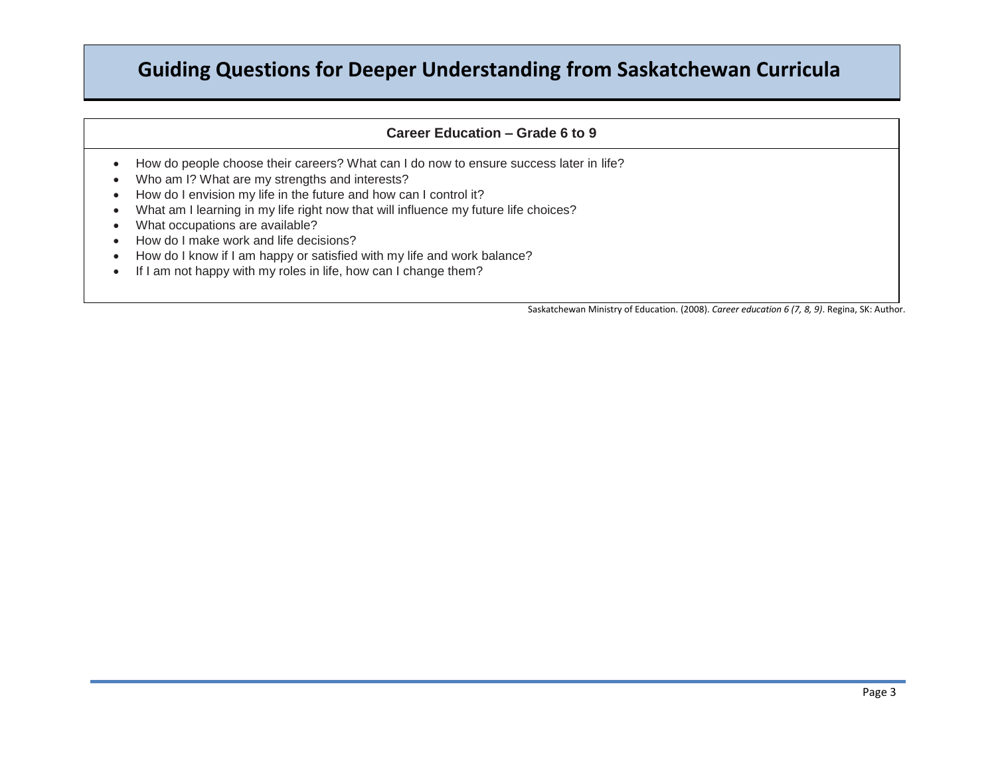#### **Career Education – Grade 6 to 9**

- How do people choose their careers? What can I do now to ensure success later in life?
- Who am I? What are my strengths and interests?
- How do I envision my life in the future and how can I control it?
- What am I learning in my life right now that will influence my future life choices?
- What occupations are available?
- How do I make work and life decisions?
- How do I know if I am happy or satisfied with my life and work balance?
- If I am not happy with my roles in life, how can I change them?

Saskatchewan Ministry of Education. (2008). *Career education 6 (7, 8, 9)*. Regina, SK: Author.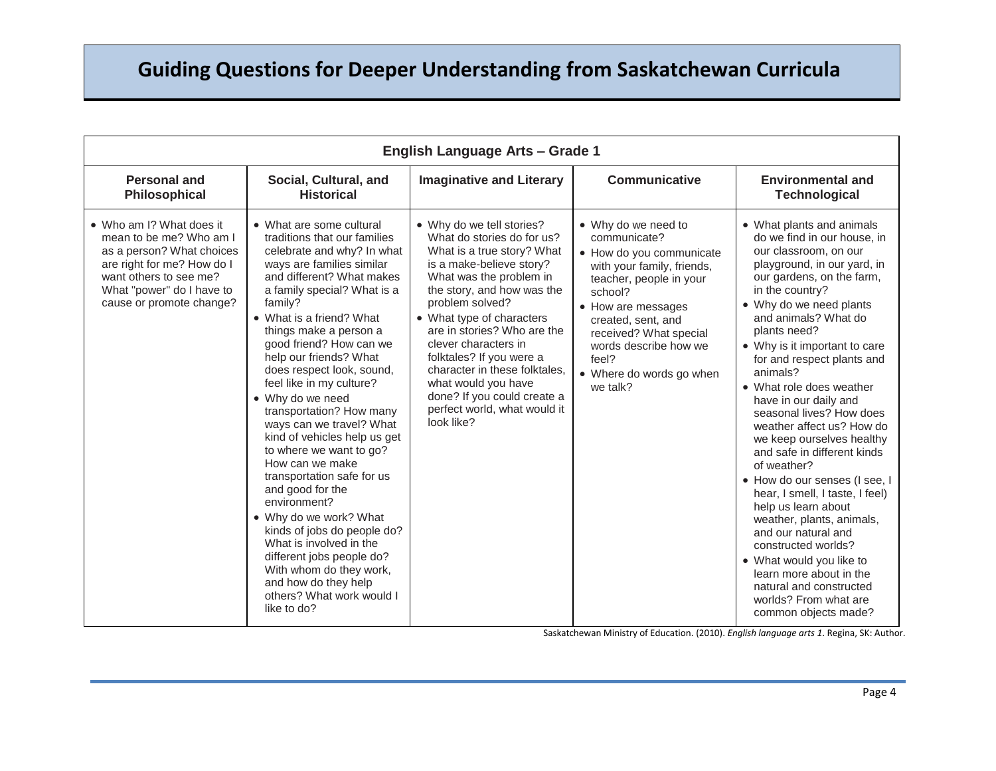| English Language Arts - Grade 1                                                                                                                                                                   |                                                                                                                                                                                                                                                                                                                                                                                                                                                                                                                                                                                                                                                                                                                                                                                                            |                                                                                                                                                                                                                                                                                                                                                                                                                                                    |                                                                                                                                                                                                                                                                                     |                                                                                                                                                                                                                                                                                                                                                                                                                                                                                                                                                                                                                                                                                                                                                                                                                  |  |  |
|---------------------------------------------------------------------------------------------------------------------------------------------------------------------------------------------------|------------------------------------------------------------------------------------------------------------------------------------------------------------------------------------------------------------------------------------------------------------------------------------------------------------------------------------------------------------------------------------------------------------------------------------------------------------------------------------------------------------------------------------------------------------------------------------------------------------------------------------------------------------------------------------------------------------------------------------------------------------------------------------------------------------|----------------------------------------------------------------------------------------------------------------------------------------------------------------------------------------------------------------------------------------------------------------------------------------------------------------------------------------------------------------------------------------------------------------------------------------------------|-------------------------------------------------------------------------------------------------------------------------------------------------------------------------------------------------------------------------------------------------------------------------------------|------------------------------------------------------------------------------------------------------------------------------------------------------------------------------------------------------------------------------------------------------------------------------------------------------------------------------------------------------------------------------------------------------------------------------------------------------------------------------------------------------------------------------------------------------------------------------------------------------------------------------------------------------------------------------------------------------------------------------------------------------------------------------------------------------------------|--|--|
| <b>Personal and</b><br>Philosophical                                                                                                                                                              | Social, Cultural, and<br><b>Historical</b>                                                                                                                                                                                                                                                                                                                                                                                                                                                                                                                                                                                                                                                                                                                                                                 | <b>Imaginative and Literary</b>                                                                                                                                                                                                                                                                                                                                                                                                                    | <b>Communicative</b>                                                                                                                                                                                                                                                                | <b>Environmental and</b><br><b>Technological</b>                                                                                                                                                                                                                                                                                                                                                                                                                                                                                                                                                                                                                                                                                                                                                                 |  |  |
| • Who am I? What does it<br>mean to be me? Who am I<br>as a person? What choices<br>are right for me? How do I<br>want others to see me?<br>What "power" do I have to<br>cause or promote change? | • What are some cultural<br>traditions that our families<br>celebrate and why? In what<br>ways are families similar<br>and different? What makes<br>a family special? What is a<br>family?<br>• What is a friend? What<br>things make a person a<br>good friend? How can we<br>help our friends? What<br>does respect look, sound,<br>feel like in my culture?<br>• Why do we need<br>transportation? How many<br>ways can we travel? What<br>kind of vehicles help us get<br>to where we want to go?<br>How can we make<br>transportation safe for us<br>and good for the<br>environment?<br>• Why do we work? What<br>kinds of jobs do people do?<br>What is involved in the<br>different jobs people do?<br>With whom do they work,<br>and how do they help<br>others? What work would I<br>like to do? | • Why do we tell stories?<br>What do stories do for us?<br>What is a true story? What<br>is a make-believe story?<br>What was the problem in<br>the story, and how was the<br>problem solved?<br>• What type of characters<br>are in stories? Who are the<br>clever characters in<br>folktales? If you were a<br>character in these folktales.<br>what would you have<br>done? If you could create a<br>perfect world, what would it<br>look like? | • Why do we need to<br>communicate?<br>• How do you communicate<br>with your family, friends,<br>teacher, people in your<br>school?<br>• How are messages<br>created, sent, and<br>received? What special<br>words describe how we<br>feel?<br>• Where do words go when<br>we talk? | • What plants and animals<br>do we find in our house, in<br>our classroom, on our<br>playground, in our yard, in<br>our gardens, on the farm,<br>in the country?<br>• Why do we need plants<br>and animals? What do<br>plants need?<br>• Why is it important to care<br>for and respect plants and<br>animals?<br>• What role does weather<br>have in our daily and<br>seasonal lives? How does<br>weather affect us? How do<br>we keep ourselves healthy<br>and safe in different kinds<br>of weather?<br>• How do our senses (I see, I<br>hear, I smell, I taste, I feel)<br>help us learn about<br>weather, plants, animals,<br>and our natural and<br>constructed worlds?<br>• What would you like to<br>learn more about in the<br>natural and constructed<br>worlds? From what are<br>common objects made? |  |  |

Saskatchewan Ministry of Education. (2010). *English language arts 1*. Regina, SK: Author.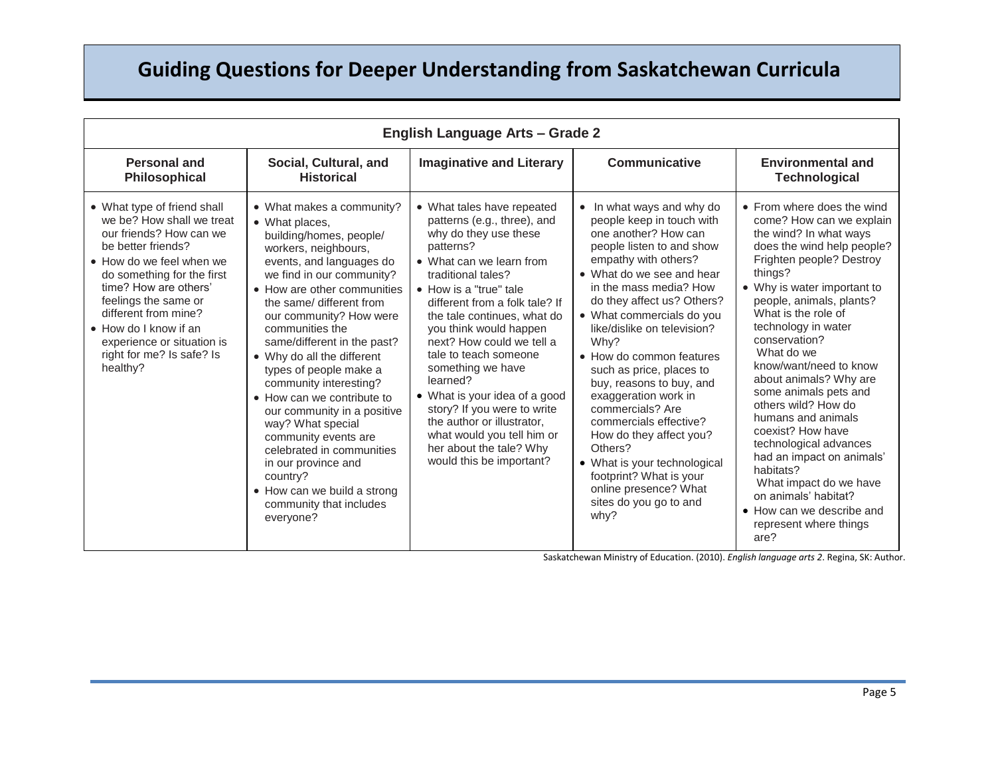| <b>English Language Arts - Grade 2</b>                                                                                                                                                                                                                                                                                                               |                                                                                                                                                                                                                                                                                                                                                                                                                                                                                                                                                                                                                                    |                                                                                                                                                                                                                                                                                                                                                                                                                                                                                                                                                  |                                                                                                                                                                                                                                                                                                                                                                                                                                                                                                                                                                                                                               |                                                                                                                                                                                                                                                                                                                                                                                                                                                                                                                                                                                                                                   |  |  |
|------------------------------------------------------------------------------------------------------------------------------------------------------------------------------------------------------------------------------------------------------------------------------------------------------------------------------------------------------|------------------------------------------------------------------------------------------------------------------------------------------------------------------------------------------------------------------------------------------------------------------------------------------------------------------------------------------------------------------------------------------------------------------------------------------------------------------------------------------------------------------------------------------------------------------------------------------------------------------------------------|--------------------------------------------------------------------------------------------------------------------------------------------------------------------------------------------------------------------------------------------------------------------------------------------------------------------------------------------------------------------------------------------------------------------------------------------------------------------------------------------------------------------------------------------------|-------------------------------------------------------------------------------------------------------------------------------------------------------------------------------------------------------------------------------------------------------------------------------------------------------------------------------------------------------------------------------------------------------------------------------------------------------------------------------------------------------------------------------------------------------------------------------------------------------------------------------|-----------------------------------------------------------------------------------------------------------------------------------------------------------------------------------------------------------------------------------------------------------------------------------------------------------------------------------------------------------------------------------------------------------------------------------------------------------------------------------------------------------------------------------------------------------------------------------------------------------------------------------|--|--|
| <b>Personal and</b><br>Philosophical                                                                                                                                                                                                                                                                                                                 | Social, Cultural, and<br><b>Historical</b>                                                                                                                                                                                                                                                                                                                                                                                                                                                                                                                                                                                         | <b>Imaginative and Literary</b>                                                                                                                                                                                                                                                                                                                                                                                                                                                                                                                  | Communicative                                                                                                                                                                                                                                                                                                                                                                                                                                                                                                                                                                                                                 | <b>Environmental and</b><br><b>Technological</b>                                                                                                                                                                                                                                                                                                                                                                                                                                                                                                                                                                                  |  |  |
| • What type of friend shall<br>we be? How shall we treat<br>our friends? How can we<br>be better friends?<br>• How do we feel when we<br>do something for the first<br>time? How are others'<br>feelings the same or<br>different from mine?<br>$\bullet$ How do I know if an<br>experience or situation is<br>right for me? Is safe? Is<br>healthy? | • What makes a community?<br>• What places,<br>building/homes, people/<br>workers, neighbours,<br>events, and languages do<br>we find in our community?<br>• How are other communities<br>the same/ different from<br>our community? How were<br>communities the<br>same/different in the past?<br>• Why do all the different<br>types of people make a<br>community interesting?<br>• How can we contribute to<br>our community in a positive<br>way? What special<br>community events are<br>celebrated in communities<br>in our province and<br>country?<br>• How can we build a strong<br>community that includes<br>everyone? | • What tales have repeated<br>patterns (e.g., three), and<br>why do they use these<br>patterns?<br>• What can we learn from<br>traditional tales?<br>• How is a "true" tale<br>different from a folk tale? If<br>the tale continues, what do<br>you think would happen<br>next? How could we tell a<br>tale to teach someone<br>something we have<br>learned?<br>• What is your idea of a good<br>story? If you were to write<br>the author or illustrator,<br>what would you tell him or<br>her about the tale? Why<br>would this be important? | In what ways and why do<br>$\bullet$<br>people keep in touch with<br>one another? How can<br>people listen to and show<br>empathy with others?<br>• What do we see and hear<br>in the mass media? How<br>do they affect us? Others?<br>• What commercials do you<br>like/dislike on television?<br>Why?<br>• How do common features<br>such as price, places to<br>buy, reasons to buy, and<br>exaggeration work in<br>commercials? Are<br>commercials effective?<br>How do they affect you?<br>Others?<br>• What is your technological<br>footprint? What is your<br>online presence? What<br>sites do you go to and<br>why? | • From where does the wind<br>come? How can we explain<br>the wind? In what ways<br>does the wind help people?<br>Frighten people? Destroy<br>things?<br>• Why is water important to<br>people, animals, plants?<br>What is the role of<br>technology in water<br>conservation?<br>What do we<br>know/want/need to know<br>about animals? Why are<br>some animals pets and<br>others wild? How do<br>humans and animals<br>coexist? How have<br>technological advances<br>had an impact on animals'<br>habitats?<br>What impact do we have<br>on animals' habitat?<br>• How can we describe and<br>represent where things<br>are? |  |  |

Saskatchewan Ministry of Education. (2010). *English language arts 2*. Regina, SK: Author.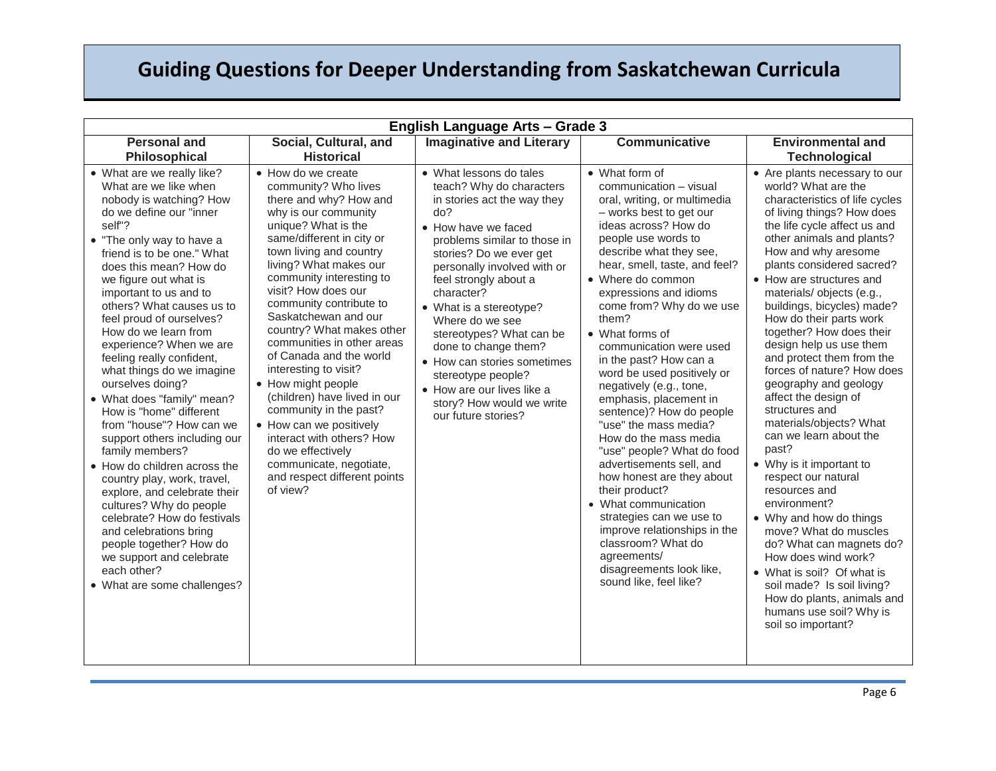| <b>English Language Arts - Grade 3</b>                                                                                                                                                                                                                                                                                                                                                                                                                                                                                                                                                                                                                                                                                                                                                                                                                                                |                                                                                                                                                                                                                                                                                                                                                                                                                                                                                                                                                                                                                                                                |                                                                                                                                                                                                                                                                                                                                                                                                                                                                                            |                                                                                                                                                                                                                                                                                                                                                                                                                                                                                                                                                                                                                                                                                                                                                                                                                                     |                                                                                                                                                                                                                                                                                                                                                                                                                                                                                                                                                                                                                                                                                                                                                                                                                                                                                                                                                  |  |  |
|---------------------------------------------------------------------------------------------------------------------------------------------------------------------------------------------------------------------------------------------------------------------------------------------------------------------------------------------------------------------------------------------------------------------------------------------------------------------------------------------------------------------------------------------------------------------------------------------------------------------------------------------------------------------------------------------------------------------------------------------------------------------------------------------------------------------------------------------------------------------------------------|----------------------------------------------------------------------------------------------------------------------------------------------------------------------------------------------------------------------------------------------------------------------------------------------------------------------------------------------------------------------------------------------------------------------------------------------------------------------------------------------------------------------------------------------------------------------------------------------------------------------------------------------------------------|--------------------------------------------------------------------------------------------------------------------------------------------------------------------------------------------------------------------------------------------------------------------------------------------------------------------------------------------------------------------------------------------------------------------------------------------------------------------------------------------|-------------------------------------------------------------------------------------------------------------------------------------------------------------------------------------------------------------------------------------------------------------------------------------------------------------------------------------------------------------------------------------------------------------------------------------------------------------------------------------------------------------------------------------------------------------------------------------------------------------------------------------------------------------------------------------------------------------------------------------------------------------------------------------------------------------------------------------|--------------------------------------------------------------------------------------------------------------------------------------------------------------------------------------------------------------------------------------------------------------------------------------------------------------------------------------------------------------------------------------------------------------------------------------------------------------------------------------------------------------------------------------------------------------------------------------------------------------------------------------------------------------------------------------------------------------------------------------------------------------------------------------------------------------------------------------------------------------------------------------------------------------------------------------------------|--|--|
| <b>Personal and</b><br>Philosophical                                                                                                                                                                                                                                                                                                                                                                                                                                                                                                                                                                                                                                                                                                                                                                                                                                                  | Social, Cultural, and<br><b>Historical</b>                                                                                                                                                                                                                                                                                                                                                                                                                                                                                                                                                                                                                     | <b>Imaginative and Literary</b>                                                                                                                                                                                                                                                                                                                                                                                                                                                            | <b>Communicative</b>                                                                                                                                                                                                                                                                                                                                                                                                                                                                                                                                                                                                                                                                                                                                                                                                                | <b>Environmental and</b><br><b>Technological</b>                                                                                                                                                                                                                                                                                                                                                                                                                                                                                                                                                                                                                                                                                                                                                                                                                                                                                                 |  |  |
| • What are we really like?<br>What are we like when<br>nobody is watching? How<br>do we define our "inner<br>self"?<br>• "The only way to have a<br>friend is to be one." What<br>does this mean? How do<br>we figure out what is<br>important to us and to<br>others? What causes us to<br>feel proud of ourselves?<br>How do we learn from<br>experience? When we are<br>feeling really confident,<br>what things do we imagine<br>ourselves doing?<br>• What does "family" mean?<br>How is "home" different<br>from "house"? How can we<br>support others including our<br>family members?<br>• How do children across the<br>country play, work, travel,<br>explore, and celebrate their<br>cultures? Why do people<br>celebrate? How do festivals<br>and celebrations bring<br>people together? How do<br>we support and celebrate<br>each other?<br>• What are some challenges? | • How do we create<br>community? Who lives<br>there and why? How and<br>why is our community<br>unique? What is the<br>same/different in city or<br>town living and country<br>living? What makes our<br>community interesting to<br>visit? How does our<br>community contribute to<br>Saskatchewan and our<br>country? What makes other<br>communities in other areas<br>of Canada and the world<br>interesting to visit?<br>• How might people<br>(children) have lived in our<br>community in the past?<br>• How can we positively<br>interact with others? How<br>do we effectively<br>communicate, negotiate,<br>and respect different points<br>of view? | • What lessons do tales<br>teach? Why do characters<br>in stories act the way they<br>do?<br>• How have we faced<br>problems similar to those in<br>stories? Do we ever get<br>personally involved with or<br>feel strongly about a<br>character?<br>• What is a stereotype?<br>Where do we see<br>stereotypes? What can be<br>done to change them?<br>• How can stories sometimes<br>stereotype people?<br>• How are our lives like a<br>story? How would we write<br>our future stories? | • What form of<br>communication - visual<br>oral, writing, or multimedia<br>- works best to get our<br>ideas across? How do<br>people use words to<br>describe what they see,<br>hear, smell, taste, and feel?<br>• Where do common<br>expressions and idioms<br>come from? Why do we use<br>them?<br>• What forms of<br>communication were used<br>in the past? How can a<br>word be used positively or<br>negatively (e.g., tone,<br>emphasis, placement in<br>sentence)? How do people<br>"use" the mass media?<br>How do the mass media<br>"use" people? What do food<br>advertisements sell, and<br>how honest are they about<br>their product?<br>• What communication<br>strategies can we use to<br>improve relationships in the<br>classroom? What do<br>agreements/<br>disagreements look like,<br>sound like, feel like? | • Are plants necessary to our<br>world? What are the<br>characteristics of life cycles<br>of living things? How does<br>the life cycle affect us and<br>other animals and plants?<br>How and why aresome<br>plants considered sacred?<br>• How are structures and<br>materials/ objects (e.g.,<br>buildings, bicycles) made?<br>How do their parts work<br>together? How does their<br>design help us use them<br>and protect them from the<br>forces of nature? How does<br>geography and geology<br>affect the design of<br>structures and<br>materials/objects? What<br>can we learn about the<br>past?<br>• Why is it important to<br>respect our natural<br>resources and<br>environment?<br>• Why and how do things<br>move? What do muscles<br>do? What can magnets do?<br>How does wind work?<br>• What is soil? Of what is<br>soil made? Is soil living?<br>How do plants, animals and<br>humans use soil? Why is<br>soil so important? |  |  |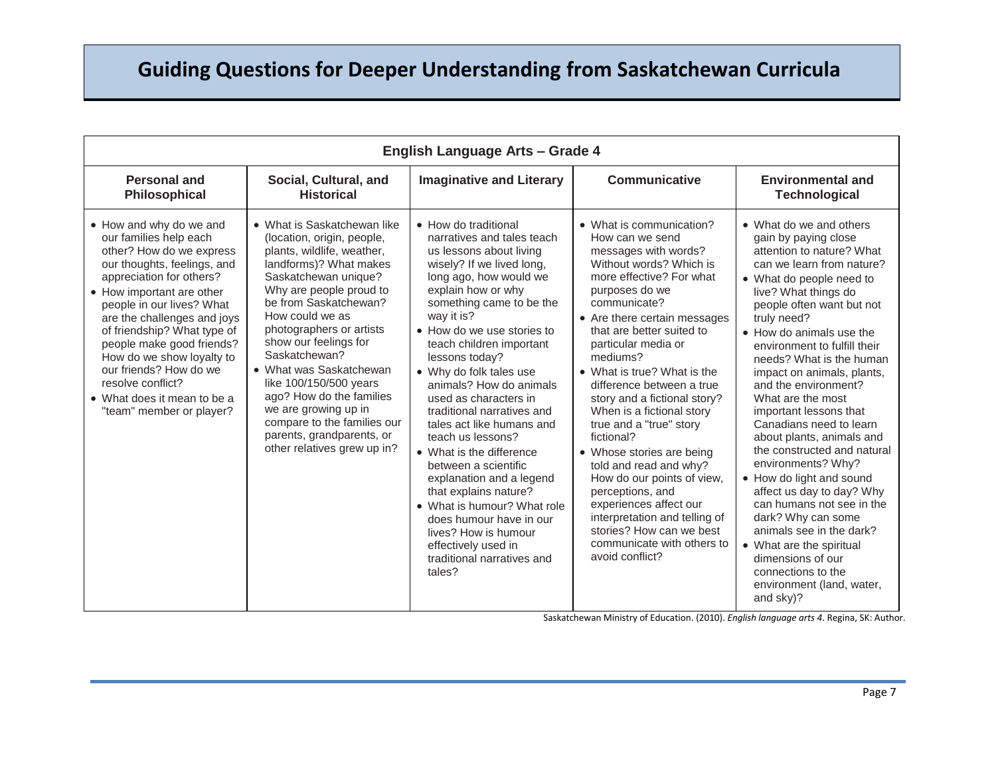| <b>English Language Arts - Grade 4</b>                                                                                                                                                                                                                                                                                                                                                                                               |                                                                                                                                                                                                                                                                                                                                                                                                                                                                                            |                                                                                                                                                                                                                                                                                                                                                                                                                                                                                                                                                                                                                                                                                                           |                                                                                                                                                                                                                                                                                                                                                                                                                                                                                                                                                                                                                                                                                 |                                                                                                                                                                                                                                                                                                                                                                                                                                                                                                                                                                                                                                                                                                                                                                              |  |  |
|--------------------------------------------------------------------------------------------------------------------------------------------------------------------------------------------------------------------------------------------------------------------------------------------------------------------------------------------------------------------------------------------------------------------------------------|--------------------------------------------------------------------------------------------------------------------------------------------------------------------------------------------------------------------------------------------------------------------------------------------------------------------------------------------------------------------------------------------------------------------------------------------------------------------------------------------|-----------------------------------------------------------------------------------------------------------------------------------------------------------------------------------------------------------------------------------------------------------------------------------------------------------------------------------------------------------------------------------------------------------------------------------------------------------------------------------------------------------------------------------------------------------------------------------------------------------------------------------------------------------------------------------------------------------|---------------------------------------------------------------------------------------------------------------------------------------------------------------------------------------------------------------------------------------------------------------------------------------------------------------------------------------------------------------------------------------------------------------------------------------------------------------------------------------------------------------------------------------------------------------------------------------------------------------------------------------------------------------------------------|------------------------------------------------------------------------------------------------------------------------------------------------------------------------------------------------------------------------------------------------------------------------------------------------------------------------------------------------------------------------------------------------------------------------------------------------------------------------------------------------------------------------------------------------------------------------------------------------------------------------------------------------------------------------------------------------------------------------------------------------------------------------------|--|--|
| <b>Personal and</b><br>Philosophical                                                                                                                                                                                                                                                                                                                                                                                                 | Social, Cultural, and<br><b>Historical</b>                                                                                                                                                                                                                                                                                                                                                                                                                                                 | <b>Imaginative and Literary</b>                                                                                                                                                                                                                                                                                                                                                                                                                                                                                                                                                                                                                                                                           | <b>Communicative</b>                                                                                                                                                                                                                                                                                                                                                                                                                                                                                                                                                                                                                                                            | <b>Environmental and</b><br><b>Technological</b>                                                                                                                                                                                                                                                                                                                                                                                                                                                                                                                                                                                                                                                                                                                             |  |  |
| • How and why do we and<br>our families help each<br>other? How do we express<br>our thoughts, feelings, and<br>appreciation for others?<br>• How important are other<br>people in our lives? What<br>are the challenges and joys<br>of friendship? What type of<br>people make good friends?<br>How do we show loyalty to<br>our friends? How do we<br>resolve conflict?<br>• What does it mean to be a<br>"team" member or player? | • What is Saskatchewan like<br>(location, origin, people,<br>plants, wildlife, weather,<br>landforms)? What makes<br>Saskatchewan unique?<br>Why are people proud to<br>be from Saskatchewan?<br>How could we as<br>photographers or artists<br>show our feelings for<br>Saskatchewan?<br>• What was Saskatchewan<br>like 100/150/500 years<br>ago? How do the families<br>we are growing up in<br>compare to the families our<br>parents, grandparents, or<br>other relatives grew up in? | • How do traditional<br>narratives and tales teach<br>us lessons about living<br>wisely? If we lived long,<br>long ago, how would we<br>explain how or why<br>something came to be the<br>way it is?<br>• How do we use stories to<br>teach children important<br>lessons today?<br>• Why do folk tales use<br>animals? How do animals<br>used as characters in<br>traditional narratives and<br>tales act like humans and<br>teach us lessons?<br>• What is the difference<br>between a scientific<br>explanation and a legend<br>that explains nature?<br>• What is humour? What role<br>does humour have in our<br>lives? How is humour<br>effectively used in<br>traditional narratives and<br>tales? | • What is communication?<br>How can we send<br>messages with words?<br>Without words? Which is<br>more effective? For what<br>purposes do we<br>communicate?<br>• Are there certain messages<br>that are better suited to<br>particular media or<br>mediums?<br>• What is true? What is the<br>difference between a true<br>story and a fictional story?<br>When is a fictional story<br>true and a "true" story<br>fictional?<br>• Whose stories are being<br>told and read and why?<br>How do our points of view,<br>perceptions, and<br>experiences affect our<br>interpretation and telling of<br>stories? How can we best<br>communicate with others to<br>avoid conflict? | • What do we and others<br>gain by paying close<br>attention to nature? What<br>can we learn from nature?<br>• What do people need to<br>live? What things do<br>people often want but not<br>truly need?<br>• How do animals use the<br>environment to fulfill their<br>needs? What is the human<br>impact on animals, plants,<br>and the environment?<br>What are the most<br>important lessons that<br>Canadians need to learn<br>about plants, animals and<br>the constructed and natural<br>environments? Why?<br>• How do light and sound<br>affect us day to day? Why<br>can humans not see in the<br>dark? Why can some<br>animals see in the dark?<br>• What are the spiritual<br>dimensions of our<br>connections to the<br>environment (land, water,<br>and sky)? |  |  |

Saskatchewan Ministry of Education. (2010). *English language arts 4*. Regina, SK: Author.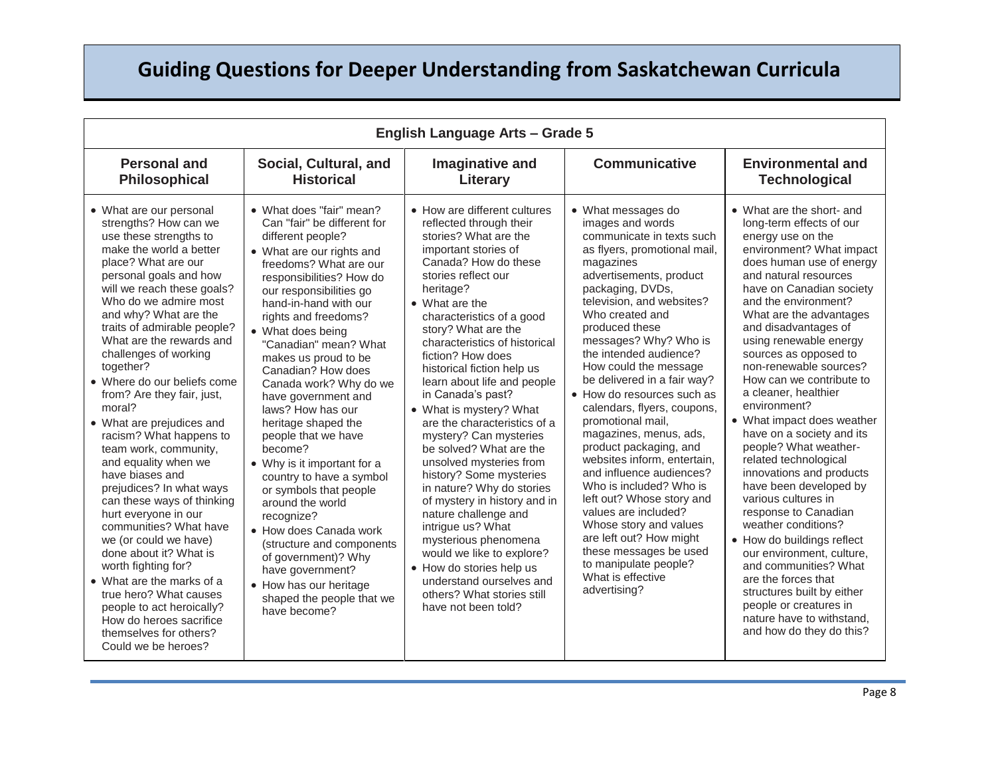| <b>English Language Arts - Grade 5</b>                                                                                                                                                                                                                                                                                                                                                                                                                                                                                                                                                                                                                                                                                                                                                                                                                                                           |                                                                                                                                                                                                                                                                                                                                                                                                                                                                                                                                                                                                                                                                                                                                                                        |                                                                                                                                                                                                                                                                                                                                                                                                                                                                                                                                                                                                                                                                                                                                                                                                                                      |                                                                                                                                                                                                                                                                                                                                                                                                                                                                                                                                                                                                                                                                                                                                                                            |                                                                                                                                                                                                                                                                                                                                                                                                                                                                                                                                                                                                                                                                                                                                                                                                                                                                                          |  |  |
|--------------------------------------------------------------------------------------------------------------------------------------------------------------------------------------------------------------------------------------------------------------------------------------------------------------------------------------------------------------------------------------------------------------------------------------------------------------------------------------------------------------------------------------------------------------------------------------------------------------------------------------------------------------------------------------------------------------------------------------------------------------------------------------------------------------------------------------------------------------------------------------------------|------------------------------------------------------------------------------------------------------------------------------------------------------------------------------------------------------------------------------------------------------------------------------------------------------------------------------------------------------------------------------------------------------------------------------------------------------------------------------------------------------------------------------------------------------------------------------------------------------------------------------------------------------------------------------------------------------------------------------------------------------------------------|--------------------------------------------------------------------------------------------------------------------------------------------------------------------------------------------------------------------------------------------------------------------------------------------------------------------------------------------------------------------------------------------------------------------------------------------------------------------------------------------------------------------------------------------------------------------------------------------------------------------------------------------------------------------------------------------------------------------------------------------------------------------------------------------------------------------------------------|----------------------------------------------------------------------------------------------------------------------------------------------------------------------------------------------------------------------------------------------------------------------------------------------------------------------------------------------------------------------------------------------------------------------------------------------------------------------------------------------------------------------------------------------------------------------------------------------------------------------------------------------------------------------------------------------------------------------------------------------------------------------------|------------------------------------------------------------------------------------------------------------------------------------------------------------------------------------------------------------------------------------------------------------------------------------------------------------------------------------------------------------------------------------------------------------------------------------------------------------------------------------------------------------------------------------------------------------------------------------------------------------------------------------------------------------------------------------------------------------------------------------------------------------------------------------------------------------------------------------------------------------------------------------------|--|--|
| <b>Personal and</b><br>Philosophical                                                                                                                                                                                                                                                                                                                                                                                                                                                                                                                                                                                                                                                                                                                                                                                                                                                             | Social, Cultural, and<br><b>Historical</b>                                                                                                                                                                                                                                                                                                                                                                                                                                                                                                                                                                                                                                                                                                                             | Imaginative and<br>Literary                                                                                                                                                                                                                                                                                                                                                                                                                                                                                                                                                                                                                                                                                                                                                                                                          | <b>Communicative</b>                                                                                                                                                                                                                                                                                                                                                                                                                                                                                                                                                                                                                                                                                                                                                       | <b>Environmental and</b><br><b>Technological</b>                                                                                                                                                                                                                                                                                                                                                                                                                                                                                                                                                                                                                                                                                                                                                                                                                                         |  |  |
| • What are our personal<br>strengths? How can we<br>use these strengths to<br>make the world a better<br>place? What are our<br>personal goals and how<br>will we reach these goals?<br>Who do we admire most<br>and why? What are the<br>traits of admirable people?<br>What are the rewards and<br>challenges of working<br>together?<br>• Where do our beliefs come<br>from? Are they fair, just,<br>moral?<br>• What are prejudices and<br>racism? What happens to<br>team work, community,<br>and equality when we<br>have biases and<br>prejudices? In what ways<br>can these ways of thinking<br>hurt everyone in our<br>communities? What have<br>we (or could we have)<br>done about it? What is<br>worth fighting for?<br>• What are the marks of a<br>true hero? What causes<br>people to act heroically?<br>How do heroes sacrifice<br>themselves for others?<br>Could we be heroes? | • What does "fair" mean?<br>Can "fair" be different for<br>different people?<br>• What are our rights and<br>freedoms? What are our<br>responsibilities? How do<br>our responsibilities go<br>hand-in-hand with our<br>rights and freedoms?<br>• What does being<br>"Canadian" mean? What<br>makes us proud to be<br>Canadian? How does<br>Canada work? Why do we<br>have government and<br>laws? How has our<br>heritage shaped the<br>people that we have<br>become?<br>• Why is it important for a<br>country to have a symbol<br>or symbols that people<br>around the world<br>recognize?<br>• How does Canada work<br>(structure and components<br>of government)? Why<br>have government?<br>• How has our heritage<br>shaped the people that we<br>have become? | • How are different cultures<br>reflected through their<br>stories? What are the<br>important stories of<br>Canada? How do these<br>stories reflect our<br>heritage?<br>• What are the<br>characteristics of a good<br>story? What are the<br>characteristics of historical<br>fiction? How does<br>historical fiction help us<br>learn about life and people<br>in Canada's past?<br>• What is mystery? What<br>are the characteristics of a<br>mystery? Can mysteries<br>be solved? What are the<br>unsolved mysteries from<br>history? Some mysteries<br>in nature? Why do stories<br>of mystery in history and in<br>nature challenge and<br>intrigue us? What<br>mysterious phenomena<br>would we like to explore?<br>• How do stories help us<br>understand ourselves and<br>others? What stories still<br>have not been told? | • What messages do<br>images and words<br>communicate in texts such<br>as flyers, promotional mail,<br>magazines<br>advertisements, product<br>packaging, DVDs,<br>television, and websites?<br>Who created and<br>produced these<br>messages? Why? Who is<br>the intended audience?<br>How could the message<br>be delivered in a fair way?<br>• How do resources such as<br>calendars, flyers, coupons,<br>promotional mail,<br>magazines, menus, ads,<br>product packaging, and<br>websites inform, entertain,<br>and influence audiences?<br>Who is included? Who is<br>left out? Whose story and<br>values are included?<br>Whose story and values<br>are left out? How might<br>these messages be used<br>to manipulate people?<br>What is effective<br>advertising? | • What are the short- and<br>long-term effects of our<br>energy use on the<br>environment? What impact<br>does human use of energy<br>and natural resources<br>have on Canadian society<br>and the environment?<br>What are the advantages<br>and disadvantages of<br>using renewable energy<br>sources as opposed to<br>non-renewable sources?<br>How can we contribute to<br>a cleaner, healthier<br>environment?<br>• What impact does weather<br>have on a society and its<br>people? What weather-<br>related technological<br>innovations and products<br>have been developed by<br>various cultures in<br>response to Canadian<br>weather conditions?<br>• How do buildings reflect<br>our environment, culture,<br>and communities? What<br>are the forces that<br>structures built by either<br>people or creatures in<br>nature have to withstand.<br>and how do they do this? |  |  |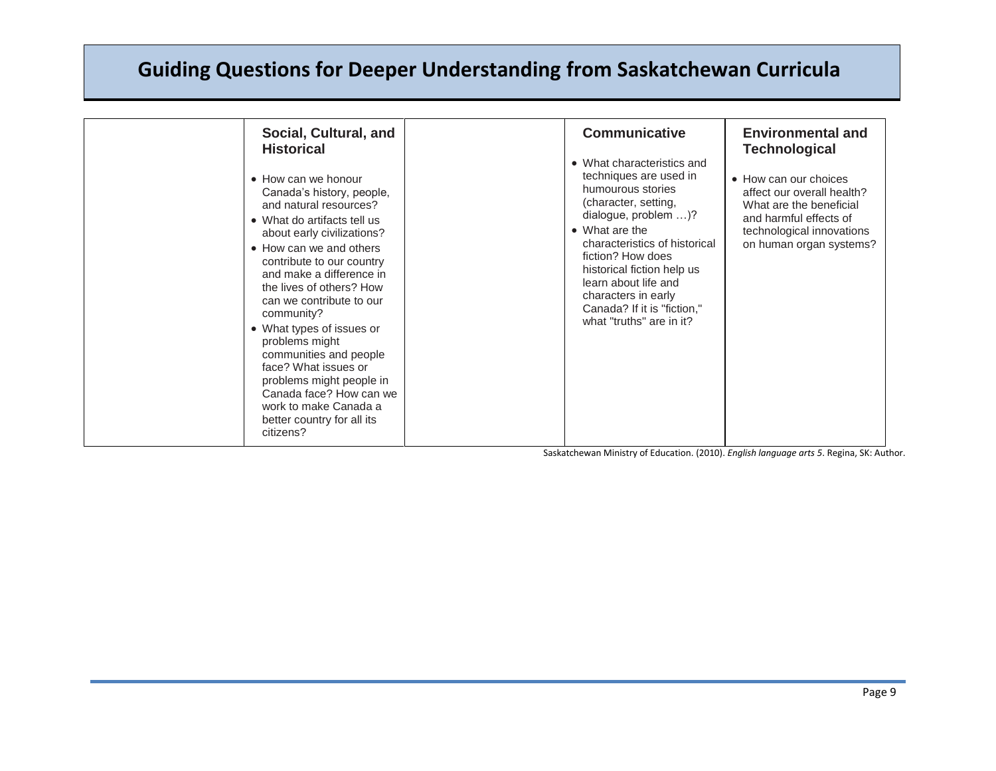| Social, Cultural, and<br><b>Historical</b><br>• How can we honour<br>Canada's history, people,<br>and natural resources?<br>• What do artifacts tell us<br>about early civilizations?<br>• How can we and others<br>contribute to our country<br>and make a difference in<br>the lives of others? How<br>can we contribute to our<br>community?<br>• What types of issues or<br>problems might<br>communities and people<br>face? What issues or<br>problems might people in<br>Canada face? How can we<br>work to make Canada a<br>better country for all its<br>citizens? | <b>Communicative</b><br>• What characteristics and<br>techniques are used in<br>humourous stories<br>(character, setting,<br>dialogue, problem )?<br>• What are the<br>characteristics of historical<br>fiction? How does<br>historical fiction help us<br>learn about life and<br>characters in early<br>Canada? If it is "fiction,"<br>what "truths" are in it? | <b>Environmental and</b><br><b>Technological</b><br>• How can our choices<br>affect our overall health?<br>What are the beneficial<br>and harmful effects of<br>technological innovations<br>on human organ systems? |
|-----------------------------------------------------------------------------------------------------------------------------------------------------------------------------------------------------------------------------------------------------------------------------------------------------------------------------------------------------------------------------------------------------------------------------------------------------------------------------------------------------------------------------------------------------------------------------|-------------------------------------------------------------------------------------------------------------------------------------------------------------------------------------------------------------------------------------------------------------------------------------------------------------------------------------------------------------------|----------------------------------------------------------------------------------------------------------------------------------------------------------------------------------------------------------------------|
|-----------------------------------------------------------------------------------------------------------------------------------------------------------------------------------------------------------------------------------------------------------------------------------------------------------------------------------------------------------------------------------------------------------------------------------------------------------------------------------------------------------------------------------------------------------------------------|-------------------------------------------------------------------------------------------------------------------------------------------------------------------------------------------------------------------------------------------------------------------------------------------------------------------------------------------------------------------|----------------------------------------------------------------------------------------------------------------------------------------------------------------------------------------------------------------------|

Saskatchewan Ministry of Education. (2010). *English language arts 5*. Regina, SK: Author.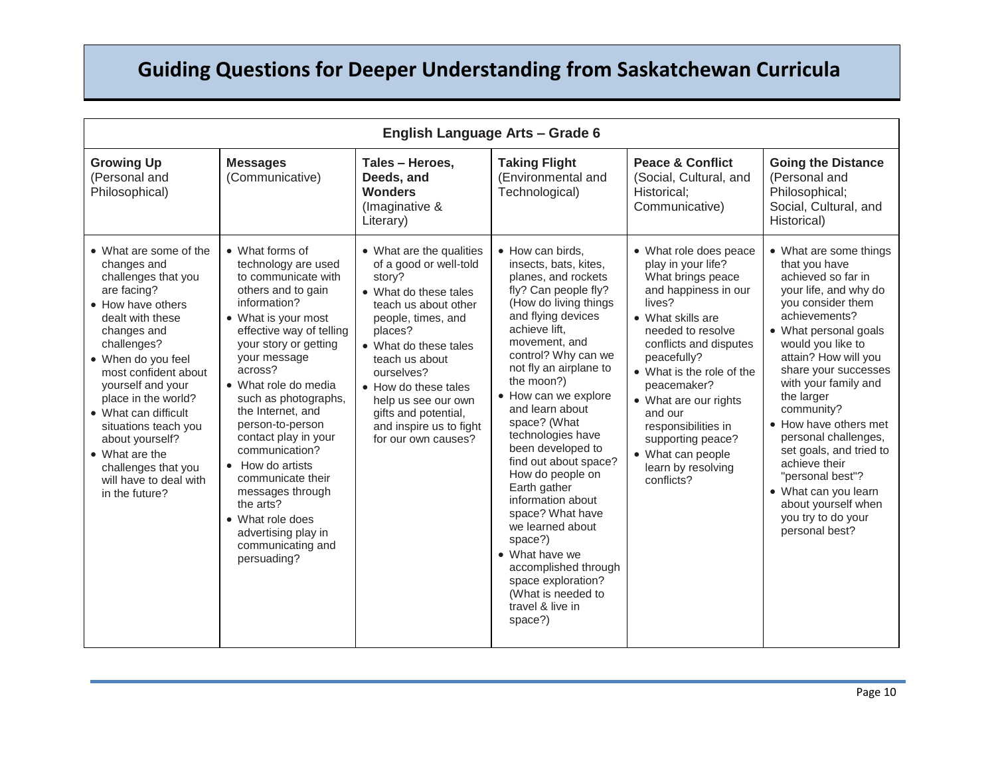| <b>English Language Arts - Grade 6</b>                                                                                                                                                                                                                                                                                                                                                               |                                                                                                                                                                                                                                                                                                                                                                                                                                                                                                        |                                                                                                                                                                                                                                                                                                                                  |                                                                                                                                                                                                                                                                                                                                                                                                                                                                                                                                                                                                         |                                                                                                                                                                                                                                                                                                                                                                             |                                                                                                                                                                                                                                                                                                                                                                                                                                                                                        |
|------------------------------------------------------------------------------------------------------------------------------------------------------------------------------------------------------------------------------------------------------------------------------------------------------------------------------------------------------------------------------------------------------|--------------------------------------------------------------------------------------------------------------------------------------------------------------------------------------------------------------------------------------------------------------------------------------------------------------------------------------------------------------------------------------------------------------------------------------------------------------------------------------------------------|----------------------------------------------------------------------------------------------------------------------------------------------------------------------------------------------------------------------------------------------------------------------------------------------------------------------------------|---------------------------------------------------------------------------------------------------------------------------------------------------------------------------------------------------------------------------------------------------------------------------------------------------------------------------------------------------------------------------------------------------------------------------------------------------------------------------------------------------------------------------------------------------------------------------------------------------------|-----------------------------------------------------------------------------------------------------------------------------------------------------------------------------------------------------------------------------------------------------------------------------------------------------------------------------------------------------------------------------|----------------------------------------------------------------------------------------------------------------------------------------------------------------------------------------------------------------------------------------------------------------------------------------------------------------------------------------------------------------------------------------------------------------------------------------------------------------------------------------|
| <b>Growing Up</b><br>(Personal and<br>Philosophical)                                                                                                                                                                                                                                                                                                                                                 | <b>Messages</b><br>(Communicative)                                                                                                                                                                                                                                                                                                                                                                                                                                                                     | Tales - Heroes,<br>Deeds, and<br><b>Wonders</b><br>(Imaginative &<br>Literary)                                                                                                                                                                                                                                                   | <b>Taking Flight</b><br>(Environmental and<br>Technological)                                                                                                                                                                                                                                                                                                                                                                                                                                                                                                                                            | <b>Peace &amp; Conflict</b><br>(Social, Cultural, and<br>Historical;<br>Communicative)                                                                                                                                                                                                                                                                                      | <b>Going the Distance</b><br>(Personal and<br>Philosophical:<br>Social, Cultural, and<br>Historical)                                                                                                                                                                                                                                                                                                                                                                                   |
| • What are some of the<br>changes and<br>challenges that you<br>are facing?<br>• How have others<br>dealt with these<br>changes and<br>challenges?<br>• When do you feel<br>most confident about<br>yourself and your<br>place in the world?<br>• What can difficult<br>situations teach you<br>about yourself?<br>• What are the<br>challenges that you<br>will have to deal with<br>in the future? | • What forms of<br>technology are used<br>to communicate with<br>others and to gain<br>information?<br>• What is your most<br>effective way of telling<br>your story or getting<br>your message<br>across?<br>• What role do media<br>such as photographs,<br>the Internet, and<br>person-to-person<br>contact play in your<br>communication?<br>• How do artists<br>communicate their<br>messages through<br>the arts?<br>• What role does<br>advertising play in<br>communicating and<br>persuading? | • What are the qualities<br>of a good or well-told<br>story?<br>• What do these tales<br>teach us about other<br>people, times, and<br>places?<br>• What do these tales<br>teach us about<br>ourselves?<br>• How do these tales<br>help us see our own<br>gifts and potential,<br>and inspire us to fight<br>for our own causes? | • How can birds.<br>insects, bats, kites,<br>planes, and rockets<br>fly? Can people fly?<br>(How do living things<br>and flying devices<br>achieve lift,<br>movement, and<br>control? Why can we<br>not fly an airplane to<br>the moon?)<br>• How can we explore<br>and learn about<br>space? (What<br>technologies have<br>been developed to<br>find out about space?<br>How do people on<br>Earth gather<br>information about<br>space? What have<br>we learned about<br>space?)<br>• What have we<br>accomplished through<br>space exploration?<br>(What is needed to<br>travel & live in<br>space?) | • What role does peace<br>play in your life?<br>What brings peace<br>and happiness in our<br>lives?<br>• What skills are<br>needed to resolve<br>conflicts and disputes<br>peacefully?<br>• What is the role of the<br>peacemaker?<br>• What are our rights<br>and our<br>responsibilities in<br>supporting peace?<br>• What can people<br>learn by resolving<br>conflicts? | • What are some things<br>that you have<br>achieved so far in<br>your life, and why do<br>you consider them<br>achievements?<br>• What personal goals<br>would you like to<br>attain? How will you<br>share your successes<br>with your family and<br>the larger<br>community?<br>• How have others met<br>personal challenges,<br>set goals, and tried to<br>achieve their<br>"personal best"?<br>• What can you learn<br>about yourself when<br>you try to do your<br>personal best? |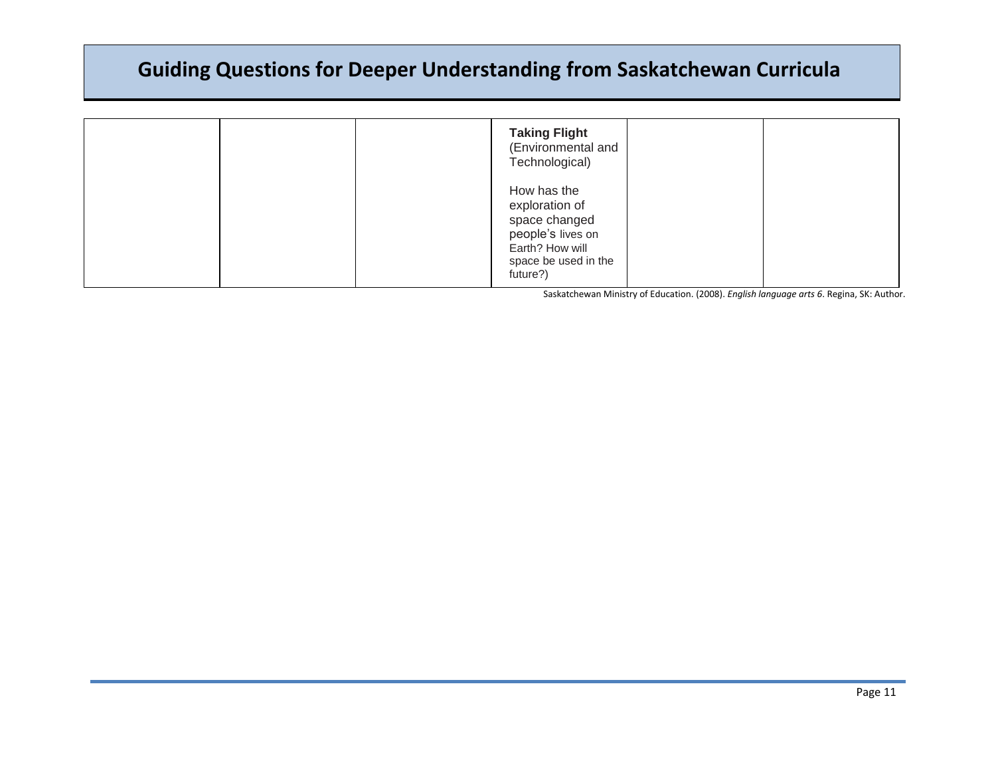|  | <b>Taking Flight</b><br>(Environmental and<br>Technological)                                                               |  |
|--|----------------------------------------------------------------------------------------------------------------------------|--|
|  | How has the<br>exploration of<br>space changed<br>people's lives on<br>Earth? How will<br>space be used in the<br>future?) |  |

Saskatchewan Ministry of Education. (2008). *English language arts 6*. Regina, SK: Author.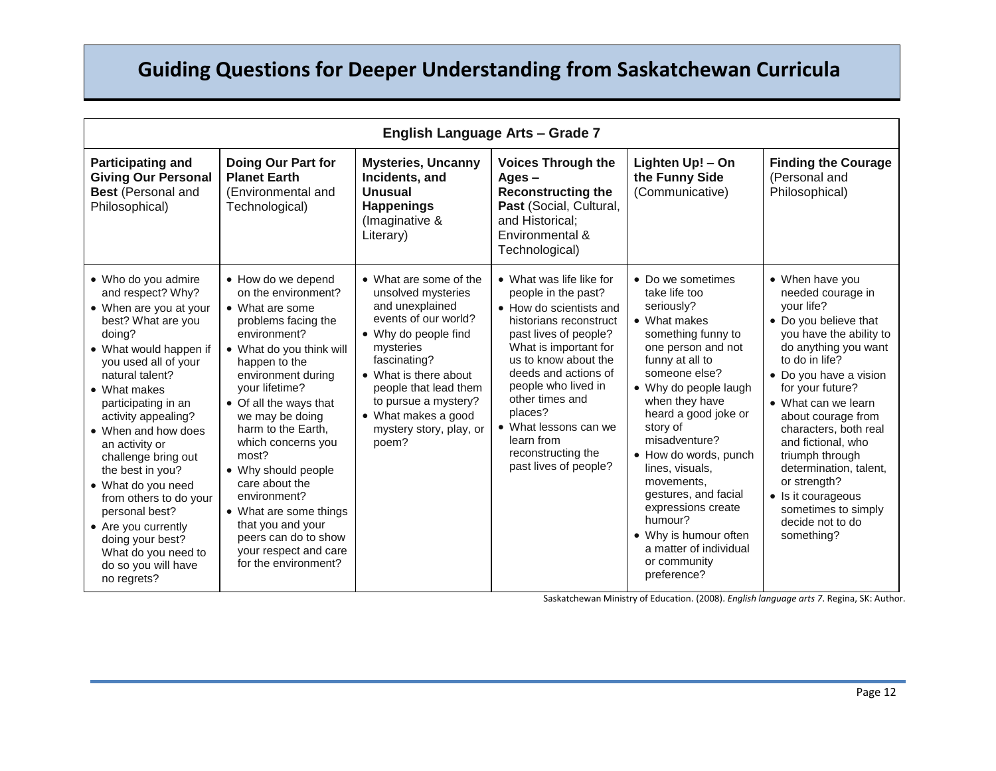| <b>English Language Arts - Grade 7</b>                                                                                                                                                                                                                                                                                                                                                                                                                                                              |                                                                                                                                                                                                                                                                                                                                                                                                                                                                             |                                                                                                                                                                                                                                                                                   |                                                                                                                                                                                                                                                                                                                                                   |                                                                                                                                                                                                                                                                                                                                                                                                                                                       |                                                                                                                                                                                                                                                                                                                                                                                                                                        |
|-----------------------------------------------------------------------------------------------------------------------------------------------------------------------------------------------------------------------------------------------------------------------------------------------------------------------------------------------------------------------------------------------------------------------------------------------------------------------------------------------------|-----------------------------------------------------------------------------------------------------------------------------------------------------------------------------------------------------------------------------------------------------------------------------------------------------------------------------------------------------------------------------------------------------------------------------------------------------------------------------|-----------------------------------------------------------------------------------------------------------------------------------------------------------------------------------------------------------------------------------------------------------------------------------|---------------------------------------------------------------------------------------------------------------------------------------------------------------------------------------------------------------------------------------------------------------------------------------------------------------------------------------------------|-------------------------------------------------------------------------------------------------------------------------------------------------------------------------------------------------------------------------------------------------------------------------------------------------------------------------------------------------------------------------------------------------------------------------------------------------------|----------------------------------------------------------------------------------------------------------------------------------------------------------------------------------------------------------------------------------------------------------------------------------------------------------------------------------------------------------------------------------------------------------------------------------------|
| <b>Participating and</b><br><b>Giving Our Personal</b><br><b>Best</b> (Personal and<br>Philosophical)                                                                                                                                                                                                                                                                                                                                                                                               | Doing Our Part for<br><b>Planet Earth</b><br>(Environmental and<br>Technological)                                                                                                                                                                                                                                                                                                                                                                                           | <b>Mysteries, Uncanny</b><br>Incidents, and<br><b>Unusual</b><br><b>Happenings</b><br>(Imaginative &<br>Literary)                                                                                                                                                                 | <b>Voices Through the</b><br>$Ages -$<br><b>Reconstructing the</b><br>Past (Social, Cultural,<br>and Historical:<br>Environmental &<br>Technological)                                                                                                                                                                                             | Lighten Up! - On<br>the Funny Side<br>(Communicative)                                                                                                                                                                                                                                                                                                                                                                                                 | <b>Finding the Courage</b><br>(Personal and<br>Philosophical)                                                                                                                                                                                                                                                                                                                                                                          |
| • Who do you admire<br>and respect? Why?<br>• When are you at your<br>best? What are you<br>doing?<br>• What would happen if<br>you used all of your<br>natural talent?<br>• What makes<br>participating in an<br>activity appealing?<br>• When and how does<br>an activity or<br>challenge bring out<br>the best in you?<br>• What do you need<br>from others to do your<br>personal best?<br>• Are you currently<br>doing your best?<br>What do you need to<br>do so you will have<br>no regrets? | • How do we depend<br>on the environment?<br>• What are some<br>problems facing the<br>environment?<br>• What do you think will<br>happen to the<br>environment during<br>your lifetime?<br>• Of all the ways that<br>we may be doing<br>harm to the Earth,<br>which concerns you<br>most?<br>• Why should people<br>care about the<br>environment?<br>• What are some things<br>that you and your<br>peers can do to show<br>your respect and care<br>for the environment? | • What are some of the<br>unsolved mysteries<br>and unexplained<br>events of our world?<br>• Why do people find<br>mysteries<br>fascinating?<br>• What is there about<br>people that lead them<br>to pursue a mystery?<br>• What makes a good<br>mystery story, play, or<br>poem? | • What was life like for<br>people in the past?<br>• How do scientists and<br>historians reconstruct<br>past lives of people?<br>What is important for<br>us to know about the<br>deeds and actions of<br>people who lived in<br>other times and<br>places?<br>• What lessons can we<br>learn from<br>reconstructing the<br>past lives of people? | • Do we sometimes<br>take life too<br>seriously?<br>• What makes<br>something funny to<br>one person and not<br>funny at all to<br>someone else?<br>• Why do people laugh<br>when they have<br>heard a good joke or<br>story of<br>misadventure?<br>• How do words, punch<br>lines, visuals,<br>movements.<br>gestures, and facial<br>expressions create<br>humour?<br>• Why is humour often<br>a matter of individual<br>or community<br>preference? | • When have you<br>needed courage in<br>your life?<br>• Do you believe that<br>you have the ability to<br>do anything you want<br>to do in life?<br>• Do you have a vision<br>for your future?<br>• What can we learn<br>about courage from<br>characters, both real<br>and fictional, who<br>triumph through<br>determination, talent,<br>or strength?<br>• Is it courageous<br>sometimes to simply<br>decide not to do<br>something? |

Saskatchewan Ministry of Education. (2008). *English language arts 7*. Regina, SK: Author.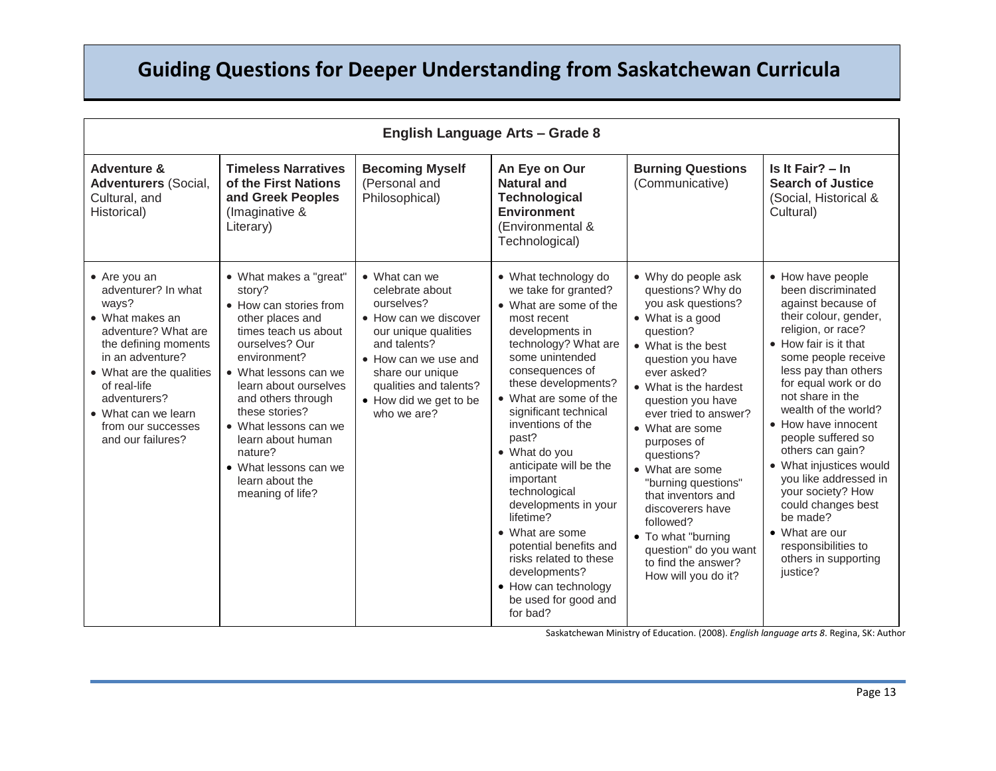| <b>English Language Arts - Grade 8</b>                                                                                                                                                                                                                                   |                                                                                                                                                                                                                                                                                                                                                             |                                                                                                                                                                                                                                |                                                                                                                                                                                                                                                                                                                                                                                                                                                                                                                                                  |                                                                                                                                                                                                                                                                                                                                                                                                                                                                                |                                                                                                                                                                                                                                                                                                                                                                                                                                                                                                                   |  |
|--------------------------------------------------------------------------------------------------------------------------------------------------------------------------------------------------------------------------------------------------------------------------|-------------------------------------------------------------------------------------------------------------------------------------------------------------------------------------------------------------------------------------------------------------------------------------------------------------------------------------------------------------|--------------------------------------------------------------------------------------------------------------------------------------------------------------------------------------------------------------------------------|--------------------------------------------------------------------------------------------------------------------------------------------------------------------------------------------------------------------------------------------------------------------------------------------------------------------------------------------------------------------------------------------------------------------------------------------------------------------------------------------------------------------------------------------------|--------------------------------------------------------------------------------------------------------------------------------------------------------------------------------------------------------------------------------------------------------------------------------------------------------------------------------------------------------------------------------------------------------------------------------------------------------------------------------|-------------------------------------------------------------------------------------------------------------------------------------------------------------------------------------------------------------------------------------------------------------------------------------------------------------------------------------------------------------------------------------------------------------------------------------------------------------------------------------------------------------------|--|
| Adventure &<br><b>Adventurers (Social,</b><br>Cultural, and<br>Historical)                                                                                                                                                                                               | <b>Timeless Narratives</b><br>of the First Nations<br>and Greek Peoples<br>(Imaginative &<br>Literary)                                                                                                                                                                                                                                                      | <b>Becoming Myself</b><br>(Personal and<br>Philosophical)                                                                                                                                                                      | An Eye on Our<br>Natural and<br><b>Technological</b><br><b>Environment</b><br>(Environmental &<br>Technological)                                                                                                                                                                                                                                                                                                                                                                                                                                 | <b>Burning Questions</b><br>(Communicative)                                                                                                                                                                                                                                                                                                                                                                                                                                    | Is It Fair? - In<br><b>Search of Justice</b><br>(Social, Historical &<br>Cultural)                                                                                                                                                                                                                                                                                                                                                                                                                                |  |
| $\bullet$ Are you an<br>adventurer? In what<br>ways?<br>• What makes an<br>adventure? What are<br>the defining moments<br>in an adventure?<br>• What are the qualities<br>of real-life<br>adventurers?<br>• What can we learn<br>from our successes<br>and our failures? | • What makes a "great"<br>story?<br>• How can stories from<br>other places and<br>times teach us about<br>ourselves? Our<br>environment?<br>• What lessons can we<br>learn about ourselves<br>and others through<br>these stories?<br>• What lessons can we<br>learn about human<br>nature?<br>• What lessons can we<br>learn about the<br>meaning of life? | • What can we<br>celebrate about<br>ourselves?<br>• How can we discover<br>our unique qualities<br>and talents?<br>• How can we use and<br>share our unique<br>qualities and talents?<br>• How did we get to be<br>who we are? | • What technology do<br>we take for granted?<br>• What are some of the<br>most recent<br>developments in<br>technology? What are<br>some unintended<br>consequences of<br>these developments?<br>• What are some of the<br>significant technical<br>inventions of the<br>past?<br>• What do you<br>anticipate will be the<br>important<br>technological<br>developments in your<br>lifetime?<br>• What are some<br>potential benefits and<br>risks related to these<br>developments?<br>• How can technology<br>be used for good and<br>for bad? | • Why do people ask<br>questions? Why do<br>you ask questions?<br>• What is a good<br>question?<br>• What is the best<br>question you have<br>ever asked?<br>• What is the hardest<br>question you have<br>ever tried to answer?<br>• What are some<br>purposes of<br>questions?<br>• What are some<br>"burning questions"<br>that inventors and<br>discoverers have<br>followed?<br>• To what "burning<br>question" do you want<br>to find the answer?<br>How will you do it? | • How have people<br>been discriminated<br>against because of<br>their colour, gender,<br>religion, or race?<br>• How fair is it that<br>some people receive<br>less pay than others<br>for equal work or do<br>not share in the<br>wealth of the world?<br>• How have innocent<br>people suffered so<br>others can gain?<br>• What injustices would<br>vou like addressed in<br>your society? How<br>could changes best<br>be made?<br>• What are our<br>responsibilities to<br>others in supporting<br>justice? |  |

Saskatchewan Ministry of Education. (2008). *English language arts 8*. Regina, SK: Author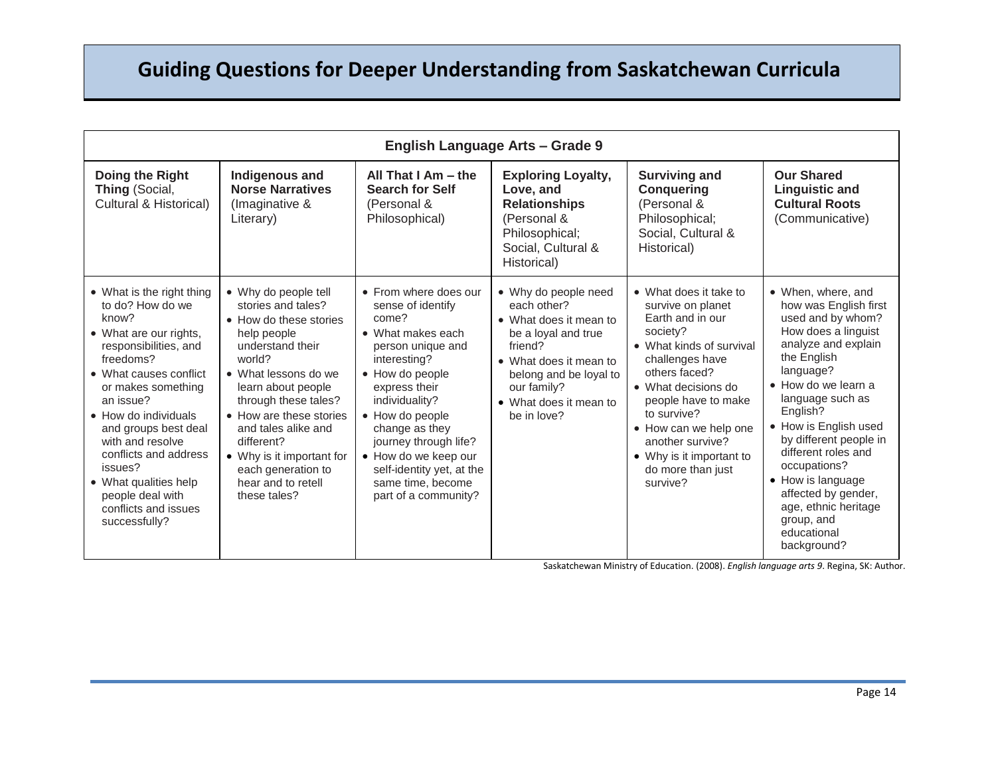| <b>English Language Arts - Grade 9</b>                                                                                                                                                                                                                                                                                                                                            |                                                                                                                                                                                                                                                                                                                                                  |                                                                                                                                                                                                                                                                                                                                     |                                                                                                                                                                                                             |                                                                                                                                                                                                                                                                                                                    |                                                                                                                                                                                                                                                                                                                                                                                                             |
|-----------------------------------------------------------------------------------------------------------------------------------------------------------------------------------------------------------------------------------------------------------------------------------------------------------------------------------------------------------------------------------|--------------------------------------------------------------------------------------------------------------------------------------------------------------------------------------------------------------------------------------------------------------------------------------------------------------------------------------------------|-------------------------------------------------------------------------------------------------------------------------------------------------------------------------------------------------------------------------------------------------------------------------------------------------------------------------------------|-------------------------------------------------------------------------------------------------------------------------------------------------------------------------------------------------------------|--------------------------------------------------------------------------------------------------------------------------------------------------------------------------------------------------------------------------------------------------------------------------------------------------------------------|-------------------------------------------------------------------------------------------------------------------------------------------------------------------------------------------------------------------------------------------------------------------------------------------------------------------------------------------------------------------------------------------------------------|
| Doing the Right<br>Thing (Social,<br>Cultural & Historical)                                                                                                                                                                                                                                                                                                                       | Indigenous and<br><b>Norse Narratives</b><br>(Imaginative &<br>Literary)                                                                                                                                                                                                                                                                         | All That $I Am - the$<br><b>Search for Self</b><br>(Personal &<br>Philosophical)                                                                                                                                                                                                                                                    | <b>Exploring Loyalty,</b><br>Love, and<br><b>Relationships</b><br>(Personal &<br>Philosophical;<br>Social, Cultural &<br>Historical)                                                                        | <b>Surviving and</b><br><b>Conquering</b><br>(Personal &<br>Philosophical;<br>Social, Cultural &<br>Historical)                                                                                                                                                                                                    | <b>Our Shared</b><br>Linguistic and<br><b>Cultural Roots</b><br>(Communicative)                                                                                                                                                                                                                                                                                                                             |
| • What is the right thing<br>to do? How do we<br>know?<br>• What are our rights,<br>responsibilities, and<br>freedoms?<br>• What causes conflict<br>or makes something<br>an issue?<br>• How do individuals<br>and groups best deal<br>with and resolve<br>conflicts and address<br>issues?<br>• What qualities help<br>people deal with<br>conflicts and issues<br>successfully? | • Why do people tell<br>stories and tales?<br>• How do these stories<br>help people<br>understand their<br>world?<br>• What lessons do we<br>learn about people<br>through these tales?<br>• How are these stories<br>and tales alike and<br>different?<br>• Why is it important for<br>each generation to<br>hear and to retell<br>these tales? | • From where does our<br>sense of identify<br>come?<br>• What makes each<br>person unique and<br>interesting?<br>• How do people<br>express their<br>individuality?<br>• How do people<br>change as they<br>journey through life?<br>• How do we keep our<br>self-identity yet, at the<br>same time, become<br>part of a community? | • Why do people need<br>each other?<br>• What does it mean to<br>be a loyal and true<br>friend?<br>• What does it mean to<br>belong and be loyal to<br>our family?<br>• What does it mean to<br>be in love? | • What does it take to<br>survive on planet<br>Earth and in our<br>society?<br>• What kinds of survival<br>challenges have<br>others faced?<br>• What decisions do<br>people have to make<br>to survive?<br>• How can we help one<br>another survive?<br>• Why is it important to<br>do more than just<br>survive? | • When, where, and<br>how was English first<br>used and by whom?<br>How does a linguist<br>analyze and explain<br>the English<br>language?<br>• How do we learn a<br>language such as<br>English?<br>• How is English used<br>by different people in<br>different roles and<br>occupations?<br>• How is language<br>affected by gender,<br>age, ethnic heritage<br>group, and<br>educational<br>background? |

Saskatchewan Ministry of Education. (2008). *English language arts 9*. Regina, SK: Author.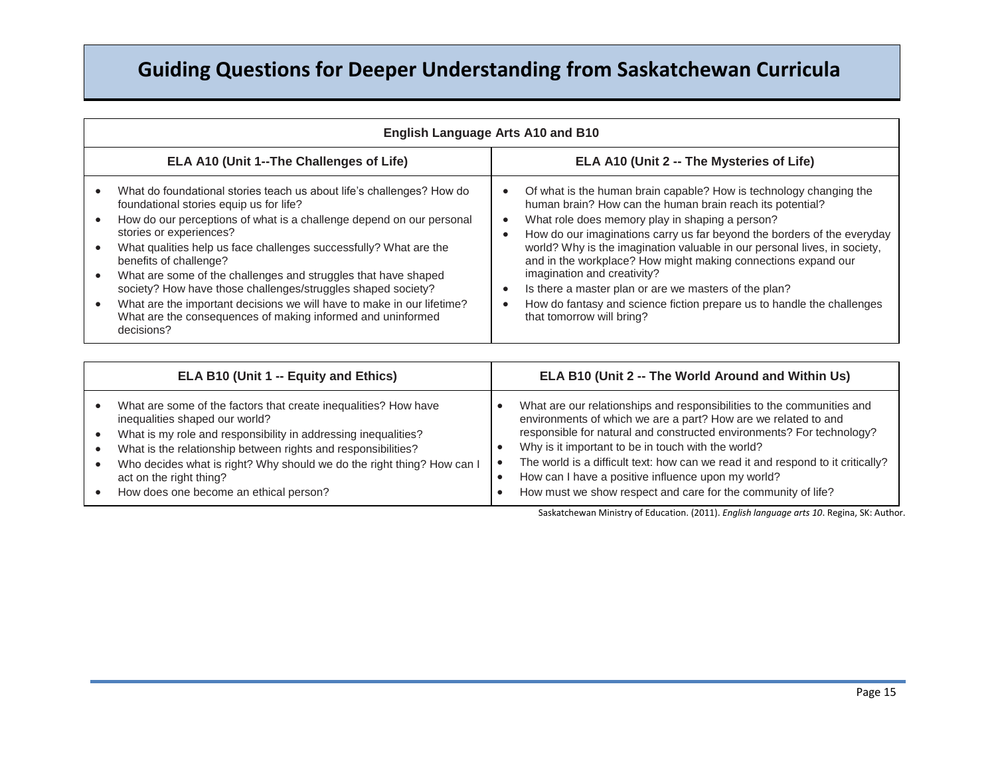| <b>English Language Arts A10 and B10</b>                                                                                                                                                                                                                                                                                                                                                                                                                                                                                                                                                      |                                                                                                                                                                                                                                                                                                                                                                                                                                                                                                                                                                                                                                      |  |  |
|-----------------------------------------------------------------------------------------------------------------------------------------------------------------------------------------------------------------------------------------------------------------------------------------------------------------------------------------------------------------------------------------------------------------------------------------------------------------------------------------------------------------------------------------------------------------------------------------------|--------------------------------------------------------------------------------------------------------------------------------------------------------------------------------------------------------------------------------------------------------------------------------------------------------------------------------------------------------------------------------------------------------------------------------------------------------------------------------------------------------------------------------------------------------------------------------------------------------------------------------------|--|--|
| ELA A10 (Unit 2 -- The Mysteries of Life)<br><b>ELA A10 (Unit 1--The Challenges of Life)</b>                                                                                                                                                                                                                                                                                                                                                                                                                                                                                                  |                                                                                                                                                                                                                                                                                                                                                                                                                                                                                                                                                                                                                                      |  |  |
| What do foundational stories teach us about life's challenges? How do<br>foundational stories equip us for life?<br>How do our perceptions of what is a challenge depend on our personal<br>stories or experiences?<br>What qualities help us face challenges successfully? What are the<br>benefits of challenge?<br>What are some of the challenges and struggles that have shaped<br>society? How have those challenges/struggles shaped society?<br>What are the important decisions we will have to make in our lifetime?<br>What are the consequences of making informed and uninformed | Of what is the human brain capable? How is technology changing the<br>human brain? How can the human brain reach its potential?<br>What role does memory play in shaping a person?<br>$\bullet$<br>How do our imaginations carry us far beyond the borders of the everyday<br>world? Why is the imagination valuable in our personal lives, in society,<br>and in the workplace? How might making connections expand our<br>imagination and creativity?<br>Is there a master plan or are we masters of the plan?<br>How do fantasy and science fiction prepare us to handle the challenges<br>$\bullet$<br>that tomorrow will bring? |  |  |

| ELA B10 (Unit 1 -- Equity and Ethics)                                  | ELA B10 (Unit 2 -- The World Around and Within Us)                              |
|------------------------------------------------------------------------|---------------------------------------------------------------------------------|
| What are some of the factors that create inequalities? How have        | What are our relationships and responsibilities to the communities and          |
| inequalities shaped our world?                                         | environments of which we are a part? How are we related to and                  |
| What is my role and responsibility in addressing inequalities?         | responsible for natural and constructed environments? For technology?           |
| What is the relationship between rights and responsibilities?          | Why is it important to be in touch with the world?                              |
| Who decides what is right? Why should we do the right thing? How can I | The world is a difficult text: how can we read it and respond to it critically? |
| act on the right thing?                                                | How can I have a positive influence upon my world?                              |
| How does one become an ethical person?                                 | How must we show respect and care for the community of life?                    |

Saskatchewan Ministry of Education. (2011). *English language arts 10*. Regina, SK: Author.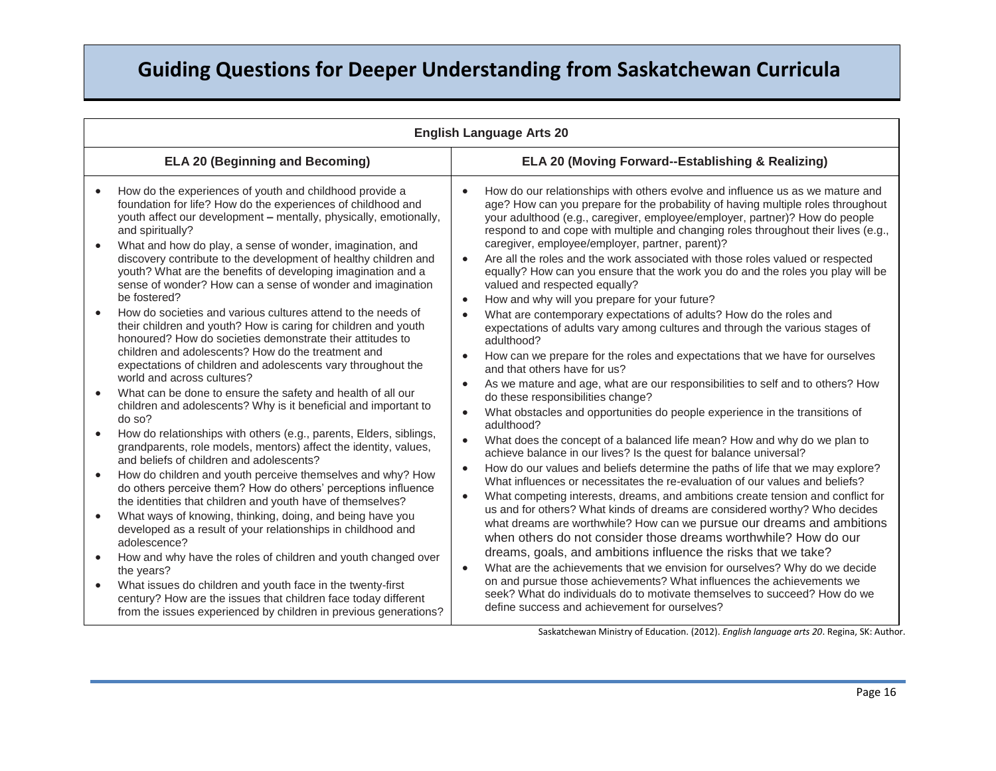|           | <b>English Language Arts 20</b>                                                                                                                                                                                                                                                                                                                                                                                                                                                |                                                                                                                                                                                                                                                                                                                                                                                                                                                                                                                                                                                                              |  |  |  |
|-----------|--------------------------------------------------------------------------------------------------------------------------------------------------------------------------------------------------------------------------------------------------------------------------------------------------------------------------------------------------------------------------------------------------------------------------------------------------------------------------------|--------------------------------------------------------------------------------------------------------------------------------------------------------------------------------------------------------------------------------------------------------------------------------------------------------------------------------------------------------------------------------------------------------------------------------------------------------------------------------------------------------------------------------------------------------------------------------------------------------------|--|--|--|
|           | <b>ELA 20 (Beginning and Becoming)</b>                                                                                                                                                                                                                                                                                                                                                                                                                                         | ELA 20 (Moving Forward--Establishing & Realizing)                                                                                                                                                                                                                                                                                                                                                                                                                                                                                                                                                            |  |  |  |
| $\bullet$ | How do the experiences of youth and childhood provide a<br>foundation for life? How do the experiences of childhood and<br>youth affect our development - mentally, physically, emotionally,<br>and spiritually?<br>What and how do play, a sense of wonder, imagination, and<br>discovery contribute to the development of healthy children and<br>youth? What are the benefits of developing imagination and a<br>sense of wonder? How can a sense of wonder and imagination | How do our relationships with others evolve and influence us as we mature and<br>age? How can you prepare for the probability of having multiple roles throughout<br>your adulthood (e.g., caregiver, employee/employer, partner)? How do people<br>respond to and cope with multiple and changing roles throughout their lives (e.g.,<br>caregiver, employee/employer, partner, parent)?<br>Are all the roles and the work associated with those roles valued or respected<br>$\bullet$<br>equally? How can you ensure that the work you do and the roles you play will be<br>valued and respected equally? |  |  |  |
|           | be fostered?<br>How do societies and various cultures attend to the needs of<br>their children and youth? How is caring for children and youth<br>honoured? How do societies demonstrate their attitudes to<br>children and adolescents? How do the treatment and<br>expectations of children and adolescents vary throughout the<br>world and across cultures?                                                                                                                | How and why will you prepare for your future?<br>$\bullet$<br>What are contemporary expectations of adults? How do the roles and<br>$\bullet$<br>expectations of adults vary among cultures and through the various stages of<br>adulthood?<br>How can we prepare for the roles and expectations that we have for ourselves<br>$\bullet$<br>and that others have for us?<br>As we mature and age, what are our responsibilities to self and to others? How<br>$\bullet$                                                                                                                                      |  |  |  |
|           | What can be done to ensure the safety and health of all our<br>children and adolescents? Why is it beneficial and important to<br>do so?<br>How do relationships with others (e.g., parents, Elders, siblings,                                                                                                                                                                                                                                                                 | do these responsibilities change?<br>What obstacles and opportunities do people experience in the transitions of<br>$\bullet$<br>adulthood?<br>What does the concept of a balanced life mean? How and why do we plan to<br>$\bullet$                                                                                                                                                                                                                                                                                                                                                                         |  |  |  |
| $\bullet$ | grandparents, role models, mentors) affect the identity, values,<br>and beliefs of children and adolescents?<br>How do children and youth perceive themselves and why? How<br>do others perceive them? How do others' perceptions influence<br>the identities that children and youth have of themselves?<br>What ways of knowing, thinking, doing, and being have you                                                                                                         | achieve balance in our lives? Is the quest for balance universal?<br>How do our values and beliefs determine the paths of life that we may explore?<br>$\bullet$<br>What influences or necessitates the re-evaluation of our values and beliefs?<br>What competing interests, dreams, and ambitions create tension and conflict for<br>$\bullet$<br>us and for others? What kinds of dreams are considered worthy? Who decides<br>what dreams are worthwhile? How can we pursue our dreams and ambitions                                                                                                     |  |  |  |
| $\bullet$ | developed as a result of your relationships in childhood and<br>adolescence?<br>How and why have the roles of children and youth changed over<br>the years?<br>What issues do children and youth face in the twenty-first<br>century? How are the issues that children face today different<br>from the issues experienced by children in previous generations?                                                                                                                | when others do not consider those dreams worthwhile? How do our<br>dreams, goals, and ambitions influence the risks that we take?<br>What are the achievements that we envision for ourselves? Why do we decide<br>$\bullet$<br>on and pursue those achievements? What influences the achievements we<br>seek? What do individuals do to motivate themselves to succeed? How do we<br>define success and achievement for ourselves?                                                                                                                                                                          |  |  |  |

Saskatchewan Ministry of Education. (2012). *English language arts 20*. Regina, SK: Author.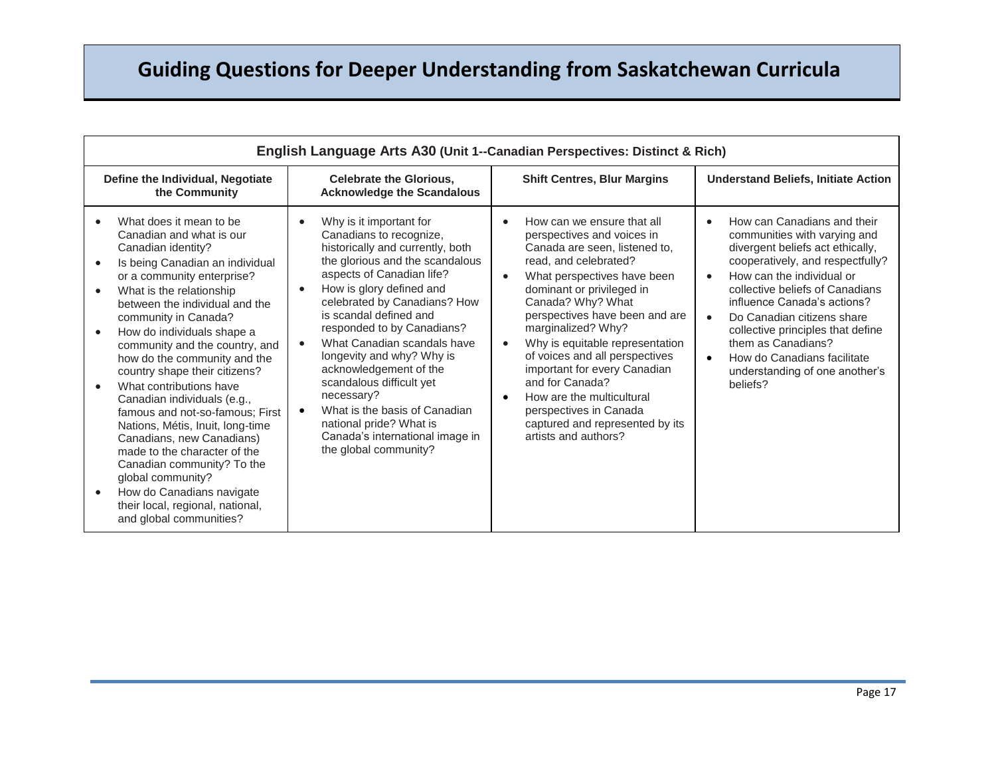| English Language Arts A30 (Unit 1--Canadian Perspectives: Distinct & Rich)                                                                                                                                                                                                                                                                                                                                                                                                                                                                                                                                                                                                                                                               |                                                                                                                                                                                                                                                                                                                                                                                                                                                                                                                                    |                                                                                                                                                                                                                                                                                                                                                                                                                                                                                                                                                           |                                                                                                                                                                                                                                                                                                                                                                                                                                                 |  |
|------------------------------------------------------------------------------------------------------------------------------------------------------------------------------------------------------------------------------------------------------------------------------------------------------------------------------------------------------------------------------------------------------------------------------------------------------------------------------------------------------------------------------------------------------------------------------------------------------------------------------------------------------------------------------------------------------------------------------------------|------------------------------------------------------------------------------------------------------------------------------------------------------------------------------------------------------------------------------------------------------------------------------------------------------------------------------------------------------------------------------------------------------------------------------------------------------------------------------------------------------------------------------------|-----------------------------------------------------------------------------------------------------------------------------------------------------------------------------------------------------------------------------------------------------------------------------------------------------------------------------------------------------------------------------------------------------------------------------------------------------------------------------------------------------------------------------------------------------------|-------------------------------------------------------------------------------------------------------------------------------------------------------------------------------------------------------------------------------------------------------------------------------------------------------------------------------------------------------------------------------------------------------------------------------------------------|--|
| Define the Individual, Negotiate<br>the Community                                                                                                                                                                                                                                                                                                                                                                                                                                                                                                                                                                                                                                                                                        | <b>Celebrate the Glorious,</b><br><b>Acknowledge the Scandalous</b>                                                                                                                                                                                                                                                                                                                                                                                                                                                                | <b>Shift Centres, Blur Margins</b>                                                                                                                                                                                                                                                                                                                                                                                                                                                                                                                        | <b>Understand Beliefs, Initiate Action</b>                                                                                                                                                                                                                                                                                                                                                                                                      |  |
| What does it mean to be<br>Canadian and what is our<br>Canadian identity?<br>Is being Canadian an individual<br>or a community enterprise?<br>What is the relationship<br>$\bullet$<br>between the individual and the<br>community in Canada?<br>How do individuals shape a<br>community and the country, and<br>how do the community and the<br>country shape their citizens?<br>What contributions have<br>Canadian individuals (e.g.,<br>famous and not-so-famous: First<br>Nations, Métis, Inuit, long-time<br>Canadians, new Canadians)<br>made to the character of the<br>Canadian community? To the<br>global community?<br>How do Canadians navigate<br>$\bullet$<br>their local, regional, national,<br>and global communities? | Why is it important for<br>Canadians to recognize,<br>historically and currently, both<br>the glorious and the scandalous<br>aspects of Canadian life?<br>How is glory defined and<br>celebrated by Canadians? How<br>is scandal defined and<br>responded to by Canadians?<br>What Canadian scandals have<br>longevity and why? Why is<br>acknowledgement of the<br>scandalous difficult yet<br>necessary?<br>What is the basis of Canadian<br>national pride? What is<br>Canada's international image in<br>the global community? | How can we ensure that all<br>$\bullet$<br>perspectives and voices in<br>Canada are seen, listened to,<br>read, and celebrated?<br>What perspectives have been<br>$\bullet$<br>dominant or privileged in<br>Canada? Why? What<br>perspectives have been and are<br>marginalized? Why?<br>Why is equitable representation<br>$\bullet$<br>of voices and all perspectives<br>important for every Canadian<br>and for Canada?<br>How are the multicultural<br>$\bullet$<br>perspectives in Canada<br>captured and represented by its<br>artists and authors? | How can Canadians and their<br>$\bullet$<br>communities with varying and<br>divergent beliefs act ethically,<br>cooperatively, and respectfully?<br>How can the individual or<br>$\bullet$<br>collective beliefs of Canadians<br>influence Canada's actions?<br>Do Canadian citizens share<br>$\bullet$<br>collective principles that define<br>them as Canadians?<br>How do Canadians facilitate<br>understanding of one another's<br>beliefs? |  |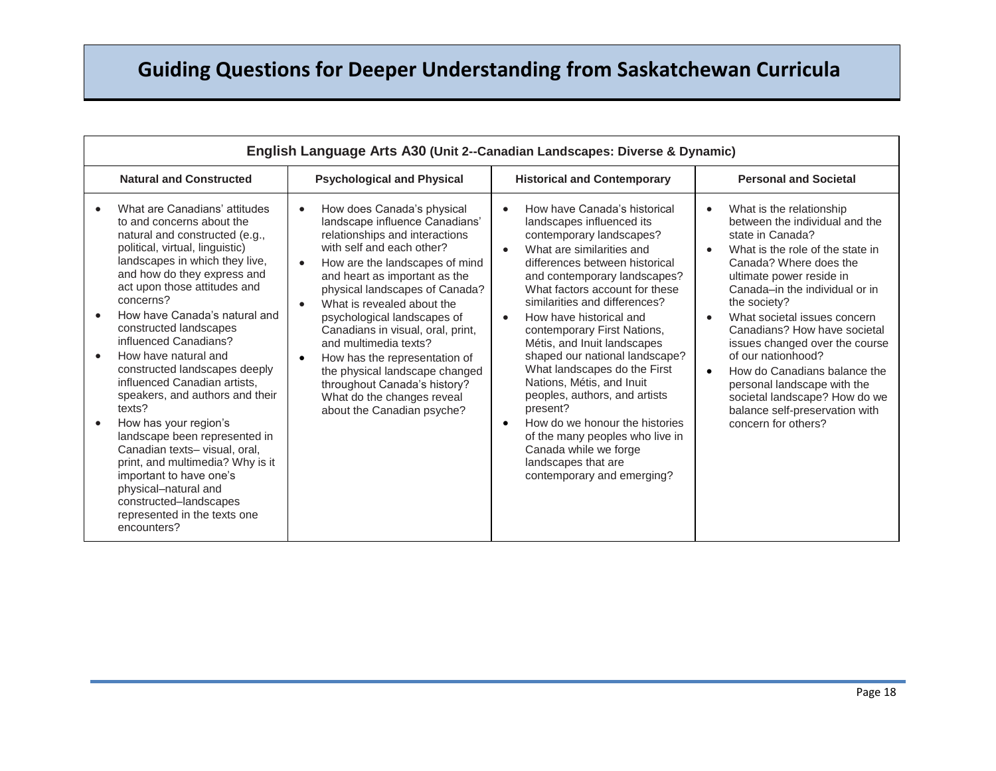| English Language Arts A30 (Unit 2--Canadian Landscapes: Diverse & Dynamic)                                                                                                                                                                                                                                                                                                                                                                                                                                                                                                                                                                                                                                                        |                                                                                                                                                                                                                                                                                                                                                                                                                                                                                                                                         |                                                                                                                                                                                                                                                                                                                                                                                                                                                                                                                                                                                                                                                                                                     |                                                                                                                                                                                                                                                                                                                                                                                                                                                                                                                                                                 |  |
|-----------------------------------------------------------------------------------------------------------------------------------------------------------------------------------------------------------------------------------------------------------------------------------------------------------------------------------------------------------------------------------------------------------------------------------------------------------------------------------------------------------------------------------------------------------------------------------------------------------------------------------------------------------------------------------------------------------------------------------|-----------------------------------------------------------------------------------------------------------------------------------------------------------------------------------------------------------------------------------------------------------------------------------------------------------------------------------------------------------------------------------------------------------------------------------------------------------------------------------------------------------------------------------------|-----------------------------------------------------------------------------------------------------------------------------------------------------------------------------------------------------------------------------------------------------------------------------------------------------------------------------------------------------------------------------------------------------------------------------------------------------------------------------------------------------------------------------------------------------------------------------------------------------------------------------------------------------------------------------------------------------|-----------------------------------------------------------------------------------------------------------------------------------------------------------------------------------------------------------------------------------------------------------------------------------------------------------------------------------------------------------------------------------------------------------------------------------------------------------------------------------------------------------------------------------------------------------------|--|
| <b>Natural and Constructed</b>                                                                                                                                                                                                                                                                                                                                                                                                                                                                                                                                                                                                                                                                                                    | <b>Psychological and Physical</b>                                                                                                                                                                                                                                                                                                                                                                                                                                                                                                       | <b>Historical and Contemporary</b>                                                                                                                                                                                                                                                                                                                                                                                                                                                                                                                                                                                                                                                                  | <b>Personal and Societal</b>                                                                                                                                                                                                                                                                                                                                                                                                                                                                                                                                    |  |
| What are Canadians' attitudes<br>to and concerns about the<br>natural and constructed (e.g.,<br>political, virtual, linguistic)<br>landscapes in which they live,<br>and how do they express and<br>act upon those attitudes and<br>concerns?<br>How have Canada's natural and<br>constructed landscapes<br>influenced Canadians?<br>How have natural and<br>constructed landscapes deeply<br>influenced Canadian artists,<br>speakers, and authors and their<br>texts?<br>How has your region's<br>landscape been represented in<br>Canadian texts-visual, oral,<br>print, and multimedia? Why is it<br>important to have one's<br>physical-natural and<br>constructed-landscapes<br>represented in the texts one<br>encounters? | How does Canada's physical<br>landscape influence Canadians'<br>relationships and interactions<br>with self and each other?<br>How are the landscapes of mind<br>$\bullet$<br>and heart as important as the<br>physical landscapes of Canada?<br>What is revealed about the<br>psychological landscapes of<br>Canadians in visual, oral, print,<br>and multimedia texts?<br>How has the representation of<br>the physical landscape changed<br>throughout Canada's history?<br>What do the changes reveal<br>about the Canadian psyche? | How have Canada's historical<br>$\bullet$<br>landscapes influenced its<br>contemporary landscapes?<br>What are similarities and<br>$\bullet$<br>differences between historical<br>and contemporary landscapes?<br>What factors account for these<br>similarities and differences?<br>How have historical and<br>$\bullet$<br>contemporary First Nations,<br>Métis, and Inuit landscapes<br>shaped our national landscape?<br>What landscapes do the First<br>Nations, Métis, and Inuit<br>peoples, authors, and artists<br>present?<br>How do we honour the histories<br>$\bullet$<br>of the many peoples who live in<br>Canada while we forge<br>landscapes that are<br>contemporary and emerging? | What is the relationship<br>$\bullet$<br>between the individual and the<br>state in Canada?<br>What is the role of the state in<br>$\bullet$<br>Canada? Where does the<br>ultimate power reside in<br>Canada-in the individual or in<br>the society?<br>What societal issues concern<br>$\bullet$<br>Canadians? How have societal<br>issues changed over the course<br>of our nationhood?<br>How do Canadians balance the<br>$\bullet$<br>personal landscape with the<br>societal landscape? How do we<br>balance self-preservation with<br>concern for others? |  |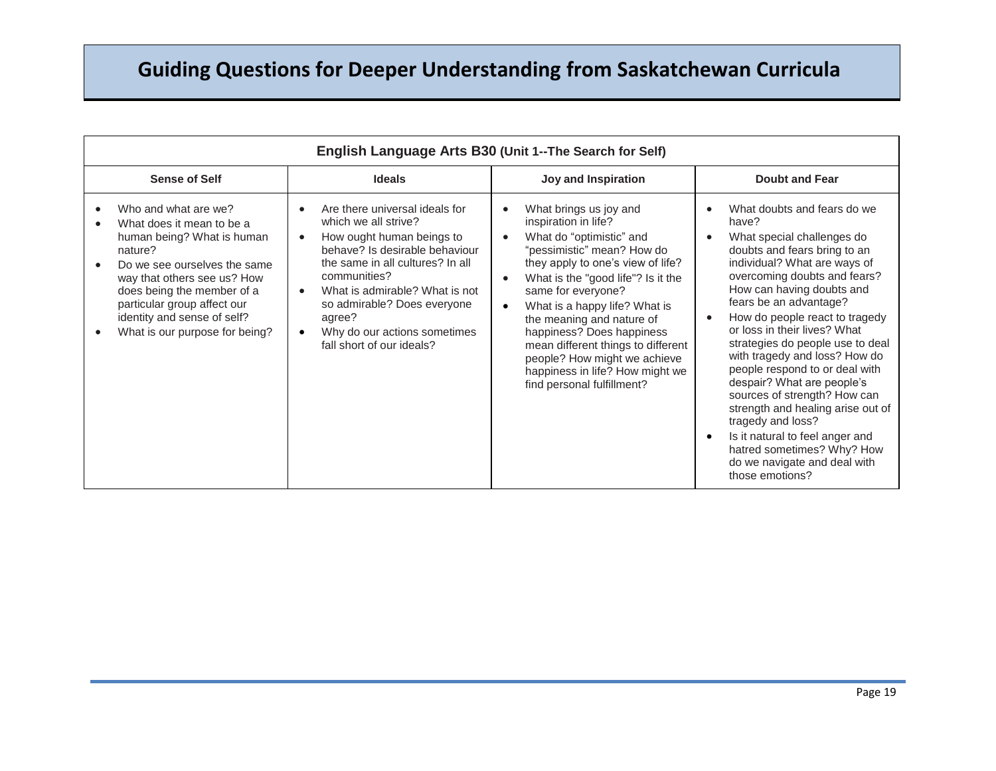| English Language Arts B30 (Unit 1--The Search for Self)                                                                                                                                                                                                                                 |                                                                                                                                                                                                                                                                                                                   |                                                                                                                                                                                                                                                                                                                                                                                                                                                                                                 |                                                                                                                                                                                                                                                                                                                                                                                                                                                                                                                                                                                                                                                |  |  |
|-----------------------------------------------------------------------------------------------------------------------------------------------------------------------------------------------------------------------------------------------------------------------------------------|-------------------------------------------------------------------------------------------------------------------------------------------------------------------------------------------------------------------------------------------------------------------------------------------------------------------|-------------------------------------------------------------------------------------------------------------------------------------------------------------------------------------------------------------------------------------------------------------------------------------------------------------------------------------------------------------------------------------------------------------------------------------------------------------------------------------------------|------------------------------------------------------------------------------------------------------------------------------------------------------------------------------------------------------------------------------------------------------------------------------------------------------------------------------------------------------------------------------------------------------------------------------------------------------------------------------------------------------------------------------------------------------------------------------------------------------------------------------------------------|--|--|
| <b>Sense of Self</b>                                                                                                                                                                                                                                                                    | <b>Ideals</b>                                                                                                                                                                                                                                                                                                     | Joy and Inspiration                                                                                                                                                                                                                                                                                                                                                                                                                                                                             | <b>Doubt and Fear</b>                                                                                                                                                                                                                                                                                                                                                                                                                                                                                                                                                                                                                          |  |  |
| Who and what are we?<br>What does it mean to be a<br>human being? What is human<br>nature?<br>Do we see ourselves the same<br>way that others see us? How<br>does being the member of a<br>particular group affect our<br>identity and sense of self?<br>What is our purpose for being? | Are there universal ideals for<br>which we all strive?<br>How ought human beings to<br>behave? Is desirable behaviour<br>the same in all cultures? In all<br>communities?<br>What is admirable? What is not<br>so admirable? Does everyone<br>agree?<br>Why do our actions sometimes<br>fall short of our ideals? | What brings us joy and<br>$\bullet$<br>inspiration in life?<br>What do "optimistic" and<br>$\bullet$<br>"pessimistic" mean? How do<br>they apply to one's view of life?<br>What is the "good life"? Is it the<br>$\bullet$<br>same for everyone?<br>What is a happy life? What is<br>$\bullet$<br>the meaning and nature of<br>happiness? Does happiness<br>mean different things to different<br>people? How might we achieve<br>happiness in life? How might we<br>find personal fulfillment? | What doubts and fears do we<br>have?<br>What special challenges do<br>doubts and fears bring to an<br>individual? What are ways of<br>overcoming doubts and fears?<br>How can having doubts and<br>fears be an advantage?<br>How do people react to tragedy<br>or loss in their lives? What<br>strategies do people use to deal<br>with tragedy and loss? How do<br>people respond to or deal with<br>despair? What are people's<br>sources of strength? How can<br>strength and healing arise out of<br>tragedy and loss?<br>Is it natural to feel anger and<br>hatred sometimes? Why? How<br>do we navigate and deal with<br>those emotions? |  |  |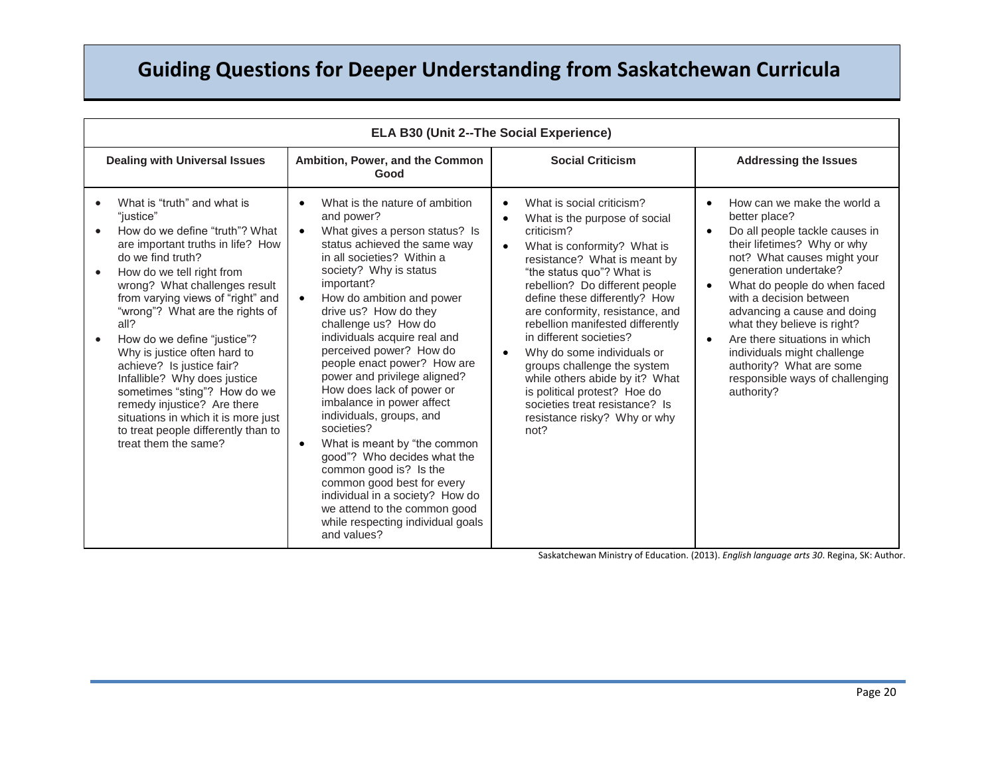| ELA B30 (Unit 2--The Social Experience)                                                                                                                                                                                                                                                                                                                                                                                                                                                                                                                                             |                                                                                                                                                                                                                                                                                                                                                                                                                                                                                                                                                                                                                                                                                                                                                |                                                                                                                                                                                                                                                                                                                                                                                                                                                                                                                                                                                                        |                                                                                                                                                                                                                                                                                                                                                                                                                                                                       |  |
|-------------------------------------------------------------------------------------------------------------------------------------------------------------------------------------------------------------------------------------------------------------------------------------------------------------------------------------------------------------------------------------------------------------------------------------------------------------------------------------------------------------------------------------------------------------------------------------|------------------------------------------------------------------------------------------------------------------------------------------------------------------------------------------------------------------------------------------------------------------------------------------------------------------------------------------------------------------------------------------------------------------------------------------------------------------------------------------------------------------------------------------------------------------------------------------------------------------------------------------------------------------------------------------------------------------------------------------------|--------------------------------------------------------------------------------------------------------------------------------------------------------------------------------------------------------------------------------------------------------------------------------------------------------------------------------------------------------------------------------------------------------------------------------------------------------------------------------------------------------------------------------------------------------------------------------------------------------|-----------------------------------------------------------------------------------------------------------------------------------------------------------------------------------------------------------------------------------------------------------------------------------------------------------------------------------------------------------------------------------------------------------------------------------------------------------------------|--|
| <b>Dealing with Universal Issues</b><br>Ambition, Power, and the Common<br>Good                                                                                                                                                                                                                                                                                                                                                                                                                                                                                                     |                                                                                                                                                                                                                                                                                                                                                                                                                                                                                                                                                                                                                                                                                                                                                | <b>Social Criticism</b>                                                                                                                                                                                                                                                                                                                                                                                                                                                                                                                                                                                | <b>Addressing the Issues</b>                                                                                                                                                                                                                                                                                                                                                                                                                                          |  |
| What is "truth" and what is<br>"justice"<br>How do we define "truth"? What<br>are important truths in life? How<br>do we find truth?<br>How do we tell right from<br>wrong? What challenges result<br>from varying views of "right" and<br>"wrong"? What are the rights of<br>all?<br>How do we define "justice"?<br>Why is justice often hard to<br>achieve? Is justice fair?<br>Infallible? Why does justice<br>sometimes "sting"? How do we<br>remedy injustice? Are there<br>situations in which it is more just<br>to treat people differently than to<br>treat them the same? | What is the nature of ambition<br>and power?<br>What gives a person status? Is<br>status achieved the same way<br>in all societies? Within a<br>society? Why is status<br>important?<br>How do ambition and power<br>drive us? How do they<br>challenge us? How do<br>individuals acquire real and<br>perceived power? How do<br>people enact power? How are<br>power and privilege aligned?<br>How does lack of power or<br>imbalance in power affect<br>individuals, groups, and<br>societies?<br>What is meant by "the common<br>good"? Who decides what the<br>common good is? Is the<br>common good best for every<br>individual in a society? How do<br>we attend to the common good<br>while respecting individual goals<br>and values? | What is social criticism?<br>$\bullet$<br>What is the purpose of social<br>$\bullet$<br>criticism?<br>What is conformity? What is<br>$\bullet$<br>resistance? What is meant by<br>"the status quo"? What is<br>rebellion? Do different people<br>define these differently? How<br>are conformity, resistance, and<br>rebellion manifested differently<br>in different societies?<br>Why do some individuals or<br>$\bullet$<br>groups challenge the system<br>while others abide by it? What<br>is political protest? Hoe do<br>societies treat resistance? Is<br>resistance risky? Why or why<br>not? | How can we make the world a<br>better place?<br>Do all people tackle causes in<br>their lifetimes? Why or why<br>not? What causes might your<br>generation undertake?<br>What do people do when faced<br>$\bullet$<br>with a decision between<br>advancing a cause and doing<br>what they believe is right?<br>Are there situations in which<br>$\bullet$<br>individuals might challenge<br>authority? What are some<br>responsible ways of challenging<br>authority? |  |

Saskatchewan Ministry of Education. (2013). *English language arts 30*. Regina, SK: Author.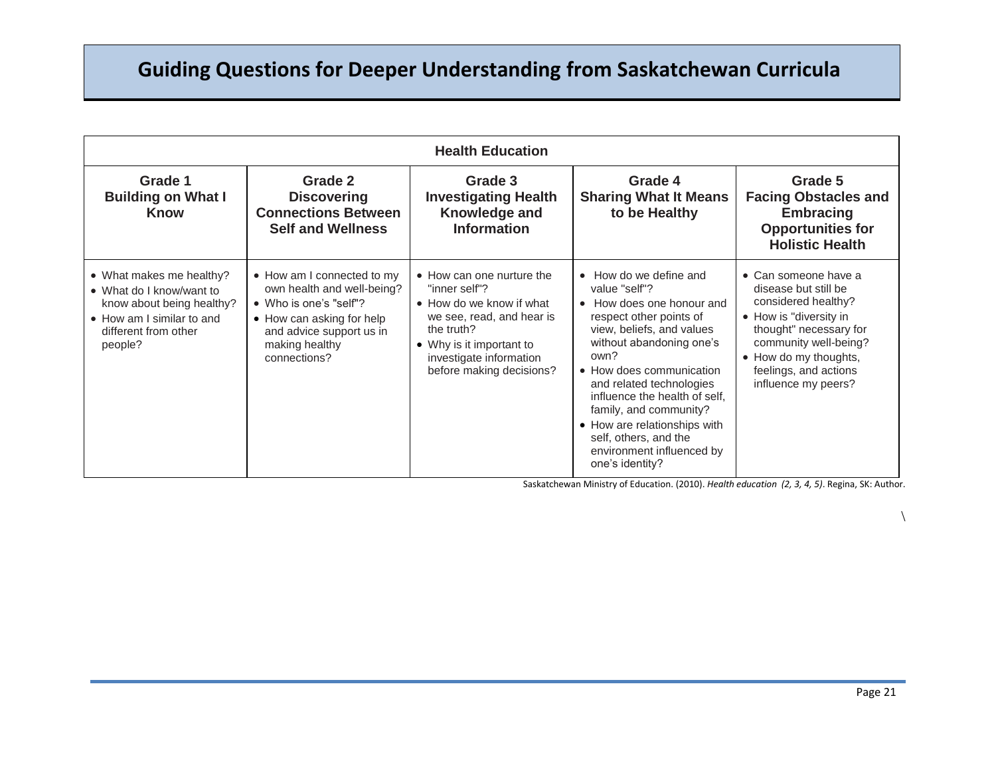| <b>Health Education</b>                                                                                                                           |                                                                                                                                                                               |                                                                                                                                                                                                      |                                                                                                                                                                                                                                                                                                                                                                                            |                                                                                                                                                                                                                                   |  |
|---------------------------------------------------------------------------------------------------------------------------------------------------|-------------------------------------------------------------------------------------------------------------------------------------------------------------------------------|------------------------------------------------------------------------------------------------------------------------------------------------------------------------------------------------------|--------------------------------------------------------------------------------------------------------------------------------------------------------------------------------------------------------------------------------------------------------------------------------------------------------------------------------------------------------------------------------------------|-----------------------------------------------------------------------------------------------------------------------------------------------------------------------------------------------------------------------------------|--|
| Grade 1<br><b>Building on What I</b><br><b>Know</b>                                                                                               | Grade 2<br><b>Discovering</b><br><b>Connections Between</b><br><b>Self and Wellness</b>                                                                                       | Grade 3<br><b>Investigating Health</b><br>Knowledge and<br><b>Information</b>                                                                                                                        | Grade 4<br><b>Sharing What It Means</b><br>to be Healthy                                                                                                                                                                                                                                                                                                                                   | Grade 5<br><b>Facing Obstacles and</b><br><b>Embracing</b><br><b>Opportunities for</b><br><b>Holistic Health</b>                                                                                                                  |  |
| • What makes me healthy?<br>• What do I know/want to<br>know about being healthy?<br>• How am I similar to and<br>different from other<br>people? | • How am I connected to my<br>own health and well-being?<br>• Who is one's "self"?<br>• How can asking for help<br>and advice support us in<br>making healthy<br>connections? | • How can one nurture the<br>"inner self"?<br>• How do we know if what<br>we see, read, and hear is<br>the truth?<br>• Why is it important to<br>investigate information<br>before making decisions? | • How do we define and<br>value "self"?<br>How does one honour and<br>respect other points of<br>view, beliefs, and values<br>without abandoning one's<br>own?<br>• How does communication<br>and related technologies<br>influence the health of self,<br>family, and community?<br>• How are relationships with<br>self, others, and the<br>environment influenced by<br>one's identity? | $\bullet$ Can someone have a<br>disease but still be<br>considered healthy?<br>• How is "diversity in<br>thought" necessary for<br>community well-being?<br>• How do my thoughts,<br>feelings, and actions<br>influence my peers? |  |

Saskatchewan Ministry of Education. (2010). *Health education (2, 3, 4, 5)*. Regina, SK: Author.

 $\backslash$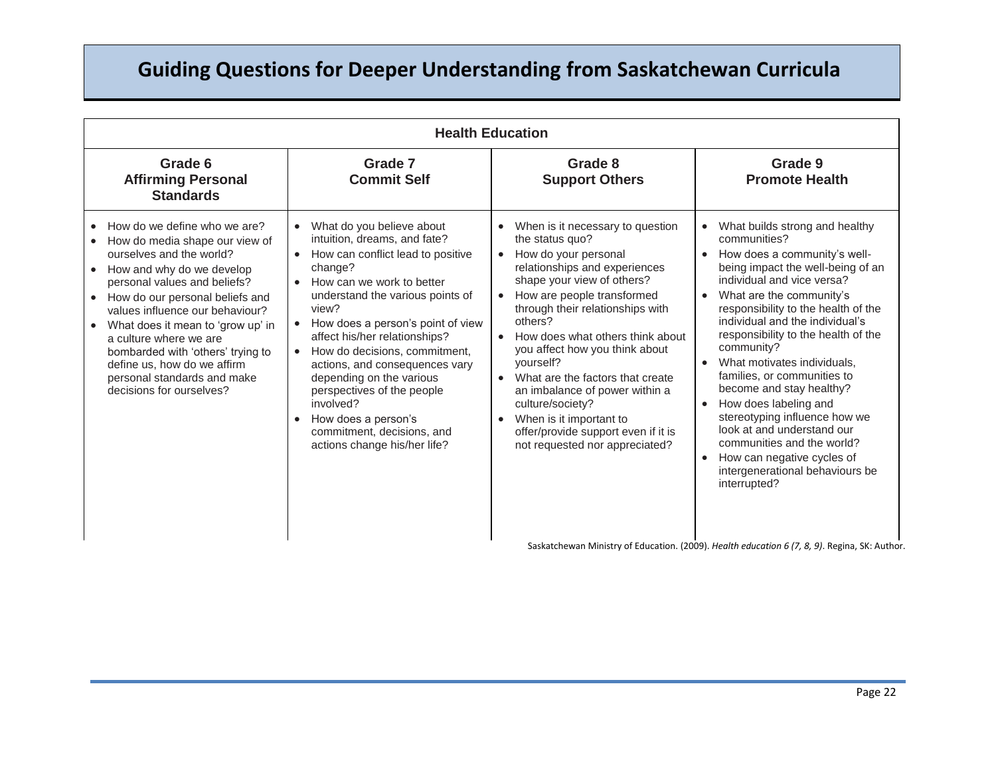| <b>Health Education</b>                                                                                                                                                                                                                                                                                                                                                                                                                               |                                                                                                                                                                                                                                                                                                                                                                                                                                                                                                                                              |                                                                                                                                                                                                                                                                                                                                                                                                                                                                                                                                                                                        |                                                                                                                                                                                                                                                                                                                                                                                                                                                                                                                                                                                                                                                                                                                                                                                |  |
|-------------------------------------------------------------------------------------------------------------------------------------------------------------------------------------------------------------------------------------------------------------------------------------------------------------------------------------------------------------------------------------------------------------------------------------------------------|----------------------------------------------------------------------------------------------------------------------------------------------------------------------------------------------------------------------------------------------------------------------------------------------------------------------------------------------------------------------------------------------------------------------------------------------------------------------------------------------------------------------------------------------|----------------------------------------------------------------------------------------------------------------------------------------------------------------------------------------------------------------------------------------------------------------------------------------------------------------------------------------------------------------------------------------------------------------------------------------------------------------------------------------------------------------------------------------------------------------------------------------|--------------------------------------------------------------------------------------------------------------------------------------------------------------------------------------------------------------------------------------------------------------------------------------------------------------------------------------------------------------------------------------------------------------------------------------------------------------------------------------------------------------------------------------------------------------------------------------------------------------------------------------------------------------------------------------------------------------------------------------------------------------------------------|--|
| Grade 6<br><b>Affirming Personal</b><br><b>Standards</b>                                                                                                                                                                                                                                                                                                                                                                                              | Grade 7<br><b>Commit Self</b>                                                                                                                                                                                                                                                                                                                                                                                                                                                                                                                | Grade 8<br><b>Support Others</b>                                                                                                                                                                                                                                                                                                                                                                                                                                                                                                                                                       | Grade 9<br><b>Promote Health</b>                                                                                                                                                                                                                                                                                                                                                                                                                                                                                                                                                                                                                                                                                                                                               |  |
| How do we define who we are?<br>$\bullet$<br>How do media shape our view of<br>ourselves and the world?<br>How and why do we develop<br>personal values and beliefs?<br>How do our personal beliefs and<br>$\bullet$<br>values influence our behaviour?<br>What does it mean to 'grow up' in<br>a culture where we are<br>bombarded with 'others' trying to<br>define us, how do we affirm<br>personal standards and make<br>decisions for ourselves? | What do you believe about<br>$\bullet$<br>intuition, dreams, and fate?<br>How can conflict lead to positive<br>$\bullet$<br>change?<br>How can we work to better<br>$\bullet$<br>understand the various points of<br>view?<br>How does a person's point of view<br>affect his/her relationships?<br>How do decisions, commitment,<br>actions, and consequences vary<br>depending on the various<br>perspectives of the people<br>involved?<br>How does a person's<br>$\bullet$<br>commitment, decisions, and<br>actions change his/her life? | When is it necessary to question<br>$\bullet$<br>the status quo?<br>How do your personal<br>$\bullet$<br>relationships and experiences<br>shape your view of others?<br>How are people transformed<br>$\bullet$<br>through their relationships with<br>others?<br>How does what others think about<br>$\bullet$<br>you affect how you think about<br>yourself?<br>What are the factors that create<br>$\bullet$<br>an imbalance of power within a<br>culture/society?<br>When is it important to<br>$\bullet$<br>offer/provide support even if it is<br>not requested nor appreciated? | What builds strong and healthy<br>$\bullet$<br>communities?<br>How does a community's well-<br>$\bullet$<br>being impact the well-being of an<br>individual and vice versa?<br>What are the community's<br>$\bullet$<br>responsibility to the health of the<br>individual and the individual's<br>responsibility to the health of the<br>community?<br>What motivates individuals.<br>families, or communities to<br>become and stay healthy?<br>How does labeling and<br>$\bullet$<br>stereotyping influence how we<br>look at and understand our<br>communities and the world?<br>How can negative cycles of<br>$\bullet$<br>intergenerational behaviours be<br>interrupted?<br>Saskatchewan Ministry of Education. (2009). Health education 6 (7, 8, 9). Regina, SK: Author |  |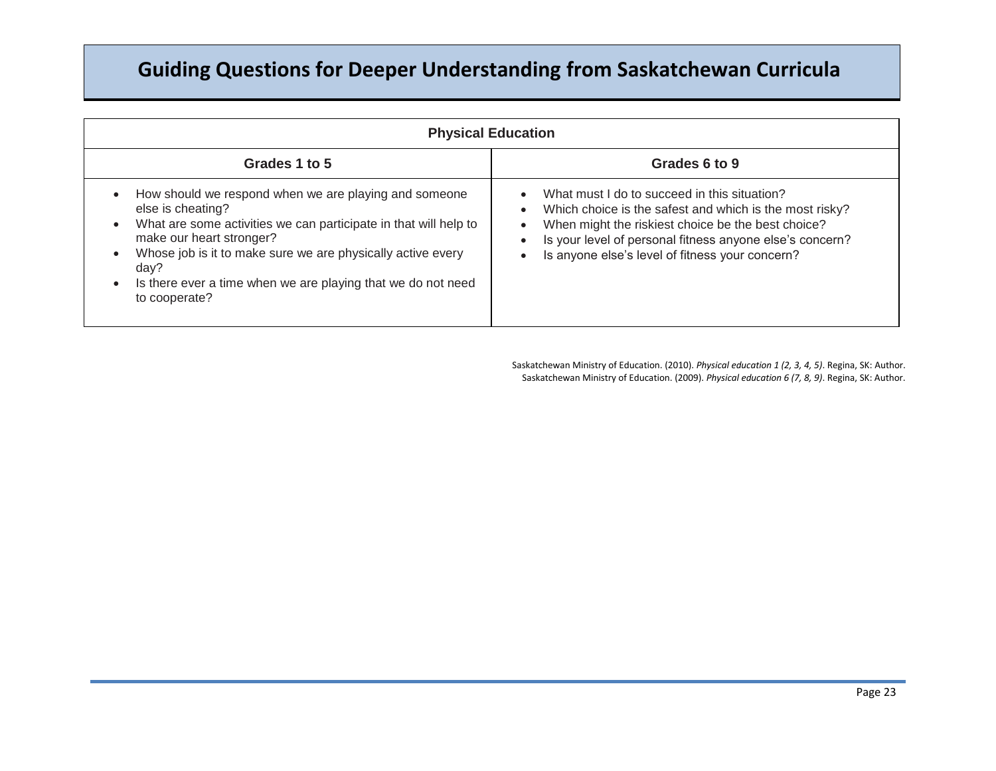| <b>Physical Education</b>                                                                                                                                                                                                                                                                                                          |                                                                                                                                                                                                                                                                              |  |  |
|------------------------------------------------------------------------------------------------------------------------------------------------------------------------------------------------------------------------------------------------------------------------------------------------------------------------------------|------------------------------------------------------------------------------------------------------------------------------------------------------------------------------------------------------------------------------------------------------------------------------|--|--|
| Grades 1 to 5                                                                                                                                                                                                                                                                                                                      | Grades 6 to 9                                                                                                                                                                                                                                                                |  |  |
| How should we respond when we are playing and someone<br>else is cheating?<br>What are some activities we can participate in that will help to<br>make our heart stronger?<br>Whose job is it to make sure we are physically active every<br>day?<br>Is there ever a time when we are playing that we do not need<br>to cooperate? | What must I do to succeed in this situation?<br>Which choice is the safest and which is the most risky?<br>When might the riskiest choice be the best choice?<br>Is your level of personal fitness anyone else's concern?<br>Is anyone else's level of fitness your concern? |  |  |

Saskatchewan Ministry of Education. (2010). *Physical education 1 (2, 3, 4, 5)*. Regina, SK: Author. Saskatchewan Ministry of Education. (2009). *Physical education 6 (7, 8, 9)*. Regina, SK: Author.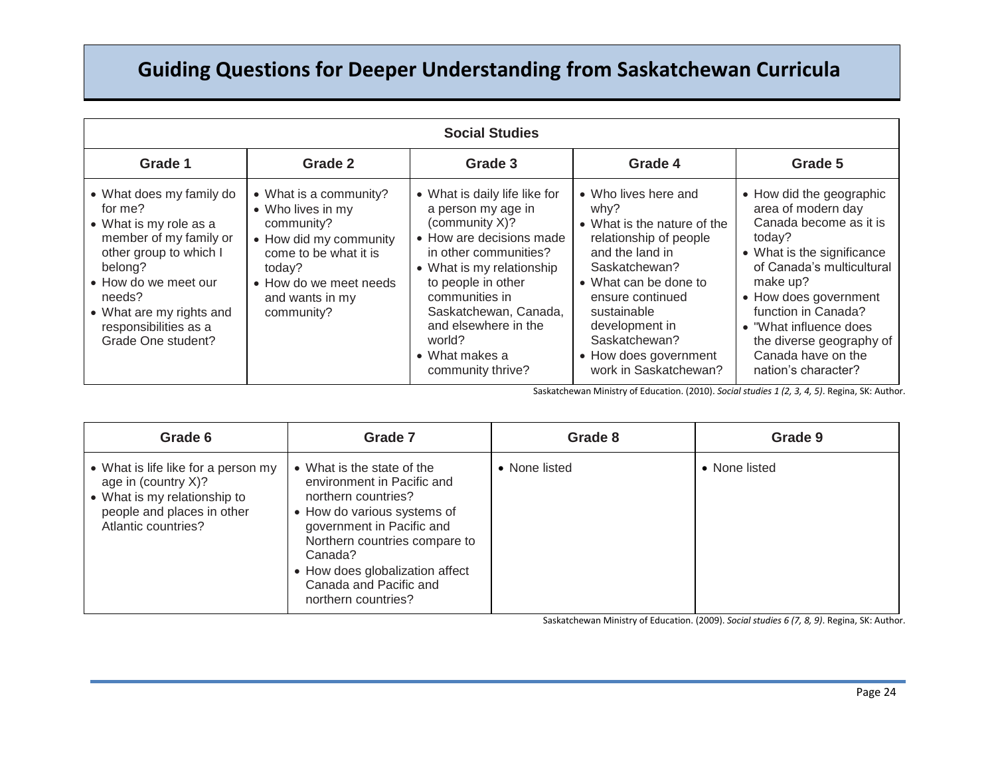| <b>Social Studies</b>                                                                                                                                                                                                                     |                                                                                                                                                                                   |                                                                                                                                                                                                                                                                                                   |                                                                                                                                                                                                                                                                            |                                                                                                                                                                                                                                                                                                               |
|-------------------------------------------------------------------------------------------------------------------------------------------------------------------------------------------------------------------------------------------|-----------------------------------------------------------------------------------------------------------------------------------------------------------------------------------|---------------------------------------------------------------------------------------------------------------------------------------------------------------------------------------------------------------------------------------------------------------------------------------------------|----------------------------------------------------------------------------------------------------------------------------------------------------------------------------------------------------------------------------------------------------------------------------|---------------------------------------------------------------------------------------------------------------------------------------------------------------------------------------------------------------------------------------------------------------------------------------------------------------|
| Grade 1                                                                                                                                                                                                                                   | Grade 2                                                                                                                                                                           | Grade 3                                                                                                                                                                                                                                                                                           | Grade 4                                                                                                                                                                                                                                                                    | Grade 5                                                                                                                                                                                                                                                                                                       |
| • What does my family do<br>for me?<br>• What is my role as a<br>member of my family or<br>other group to which I<br>belong?<br>• How do we meet our<br>needs?<br>• What are my rights and<br>responsibilities as a<br>Grade One student? | • What is a community?<br>• Who lives in my<br>community?<br>• How did my community<br>come to be what it is<br>today?<br>• How do we meet needs<br>and wants in my<br>community? | • What is daily life like for<br>a person my age in<br>(community X)?<br>• How are decisions made<br>in other communities?<br>• What is my relationship<br>to people in other<br>communities in<br>Saskatchewan, Canada,<br>and elsewhere in the<br>world?<br>• What makes a<br>community thrive? | • Who lives here and<br>why?<br>• What is the nature of the<br>relationship of people<br>and the land in<br>Saskatchewan?<br>• What can be done to<br>ensure continued<br>sustainable<br>development in<br>Saskatchewan?<br>• How does government<br>work in Saskatchewan? | • How did the geographic<br>area of modern day<br>Canada become as it is<br>today?<br>• What is the significance<br>of Canada's multicultural<br>make up?<br>• How does government<br>function in Canada?<br>• "What influence does"<br>the diverse geography of<br>Canada have on the<br>nation's character? |

Saskatchewan Ministry of Education. (2010). *Social studies 1 (2, 3, 4, 5)*. Regina, SK: Author.

| Grade 6                                                                                                                                         | Grade 7                                                                                                                                                                                                                                                                                | Grade 8       | Grade 9       |
|-------------------------------------------------------------------------------------------------------------------------------------------------|----------------------------------------------------------------------------------------------------------------------------------------------------------------------------------------------------------------------------------------------------------------------------------------|---------------|---------------|
| • What is life like for a person my<br>age in (country X)?<br>• What is my relationship to<br>people and places in other<br>Atlantic countries? | • What is the state of the<br>environment in Pacific and<br>northern countries?<br>How do various systems of<br>$\bullet$<br>government in Pacific and<br>Northern countries compare to<br>Canada?<br>• How does globalization affect<br>Canada and Pacific and<br>northern countries? | • None listed | • None listed |

Saskatchewan Ministry of Education. (2009). *Social studies 6 (7, 8, 9)*. Regina, SK: Author.